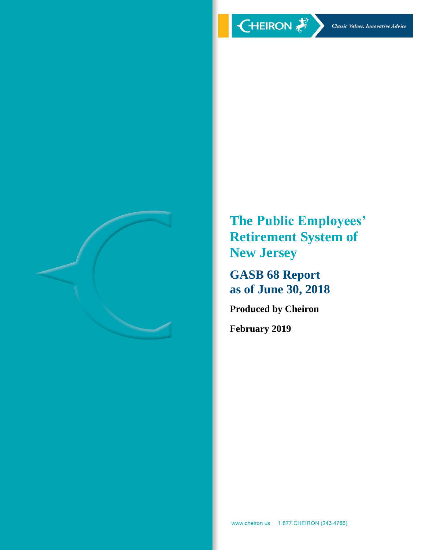

**The Public Employees' Retirement System of New Jersey**

**GASB 68 Report as of June 30, 2018**

**Produced by Cheiron**

**February 2019**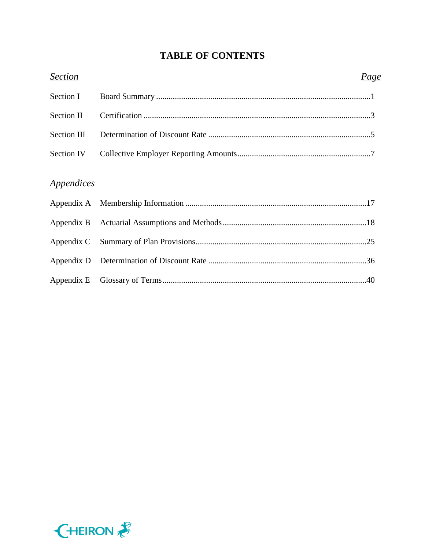# **TABLE OF CONTENTS**

| <b>Section</b>                  | Page |
|---------------------------------|------|
| Section I                       |      |
| Section II                      |      |
| Section III                     |      |
| Section IV                      |      |
| <i><u><b>Appendices</b></u></i> |      |
|                                 |      |
|                                 |      |
|                                 |      |
|                                 |      |
|                                 |      |

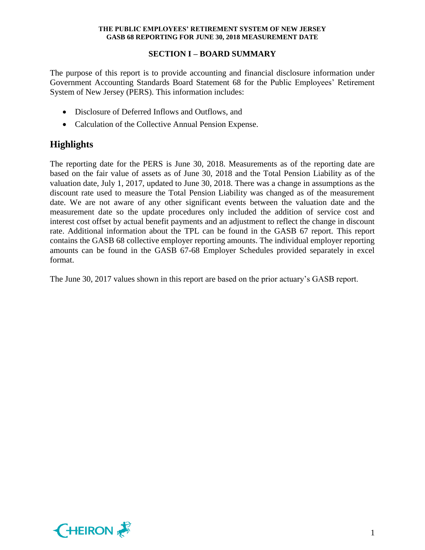## **SECTION I – BOARD SUMMARY**

The purpose of this report is to provide accounting and financial disclosure information under Government Accounting Standards Board Statement 68 for the Public Employees' Retirement System of New Jersey (PERS). This information includes:

- Disclosure of Deferred Inflows and Outflows, and
- Calculation of the Collective Annual Pension Expense.

# **Highlights**

The reporting date for the PERS is June 30, 2018. Measurements as of the reporting date are based on the fair value of assets as of June 30, 2018 and the Total Pension Liability as of the valuation date, July 1, 2017, updated to June 30, 2018. There was a change in assumptions as the discount rate used to measure the Total Pension Liability was changed as of the measurement date. We are not aware of any other significant events between the valuation date and the measurement date so the update procedures only included the addition of service cost and interest cost offset by actual benefit payments and an adjustment to reflect the change in discount rate. Additional information about the TPL can be found in the GASB 67 report. This report contains the GASB 68 collective employer reporting amounts. The individual employer reporting amounts can be found in the GASB 67-68 Employer Schedules provided separately in excel format.

The June 30, 2017 values shown in this report are based on the prior actuary's GASB report.

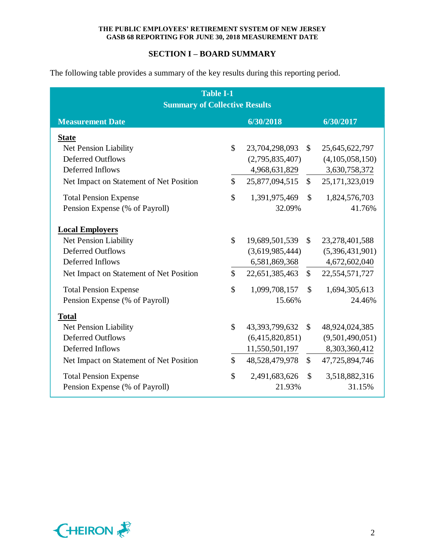## **SECTION I – BOARD SUMMARY**

The following table provides a summary of the key results during this reporting period.

| <b>Table I-1</b>                        |               |                 |               |                 |  |  |  |  |  |
|-----------------------------------------|---------------|-----------------|---------------|-----------------|--|--|--|--|--|
| <b>Summary of Collective Results</b>    |               |                 |               |                 |  |  |  |  |  |
| <b>Measurement Date</b>                 | 6/30/2018     |                 | 6/30/2017     |                 |  |  |  |  |  |
| <b>State</b>                            |               |                 |               |                 |  |  |  |  |  |
| Net Pension Liability                   | $\mathcal{S}$ | 23,704,298,093  | $\mathbb{S}$  | 25,645,622,797  |  |  |  |  |  |
| <b>Deferred Outflows</b>                |               | (2,795,835,407) |               | (4,105,058,150) |  |  |  |  |  |
| Deferred Inflows                        |               | 4,968,631,829   |               | 3,630,758,372   |  |  |  |  |  |
| Net Impact on Statement of Net Position | $\mathcal{S}$ | 25,877,094,515  | $\mathbb{S}$  | 25,171,323,019  |  |  |  |  |  |
| <b>Total Pension Expense</b>            | \$            | 1,391,975,469   | $\mathcal{S}$ | 1,824,576,703   |  |  |  |  |  |
| Pension Expense (% of Payroll)          |               | 32.09%          |               | 41.76%          |  |  |  |  |  |
| <b>Local Employers</b>                  |               |                 |               |                 |  |  |  |  |  |
| Net Pension Liability                   | $\mathcal{S}$ | 19,689,501,539  | $\mathbb{S}$  | 23,278,401,588  |  |  |  |  |  |
| <b>Deferred Outflows</b>                |               | (3,619,985,444) |               | (5,396,431,901) |  |  |  |  |  |
| Deferred Inflows                        |               | 6,581,869,368   |               | 4,672,602,040   |  |  |  |  |  |
| Net Impact on Statement of Net Position | $\mathcal{S}$ | 22,651,385,463  | $\mathbb{S}$  | 22,554,571,727  |  |  |  |  |  |
| <b>Total Pension Expense</b>            | $\mathcal{S}$ | 1,099,708,157   | $\mathcal{S}$ | 1,694,305,613   |  |  |  |  |  |
| Pension Expense (% of Payroll)          |               | 15.66%          |               | 24.46%          |  |  |  |  |  |
| <b>Total</b>                            |               |                 |               |                 |  |  |  |  |  |
| Net Pension Liability                   | \$            | 43,393,799,632  | $\mathbb{S}$  | 48,924,024,385  |  |  |  |  |  |
| <b>Deferred Outflows</b>                |               | (6,415,820,851) |               | (9,501,490,051) |  |  |  |  |  |
| Deferred Inflows                        |               | 11,550,501,197  |               | 8,303,360,412   |  |  |  |  |  |
| Net Impact on Statement of Net Position | $\mathcal{S}$ | 48,528,479,978  | $\mathbb{S}$  | 47,725,894,746  |  |  |  |  |  |
| <b>Total Pension Expense</b>            | $\mathcal{S}$ | 2,491,683,626   | $\mathcal{S}$ | 3,518,882,316   |  |  |  |  |  |
| Pension Expense (% of Payroll)          |               | 21.93%          |               | 31.15%          |  |  |  |  |  |

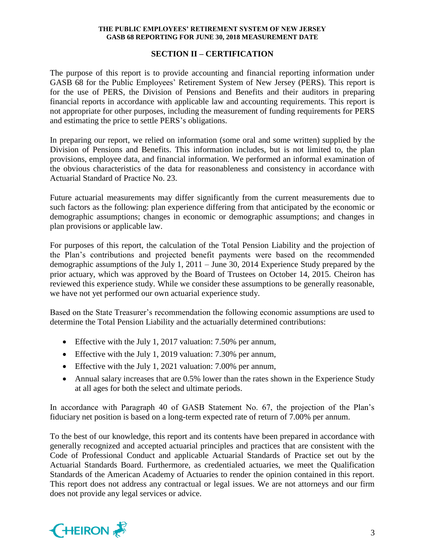## **SECTION II – CERTIFICATION**

The purpose of this report is to provide accounting and financial reporting information under GASB 68 for the Public Employees' Retirement System of New Jersey (PERS). This report is for the use of PERS, the Division of Pensions and Benefits and their auditors in preparing financial reports in accordance with applicable law and accounting requirements. This report is not appropriate for other purposes, including the measurement of funding requirements for PERS and estimating the price to settle PERS's obligations.

In preparing our report, we relied on information (some oral and some written) supplied by the Division of Pensions and Benefits. This information includes, but is not limited to, the plan provisions, employee data, and financial information. We performed an informal examination of the obvious characteristics of the data for reasonableness and consistency in accordance with Actuarial Standard of Practice No. 23.

Future actuarial measurements may differ significantly from the current measurements due to such factors as the following: plan experience differing from that anticipated by the economic or demographic assumptions; changes in economic or demographic assumptions; and changes in plan provisions or applicable law.

For purposes of this report, the calculation of the Total Pension Liability and the projection of the Plan's contributions and projected benefit payments were based on the recommended demographic assumptions of the July 1, 2011 – June 30, 2014 Experience Study prepared by the prior actuary, which was approved by the Board of Trustees on October 14, 2015. Cheiron has reviewed this experience study. While we consider these assumptions to be generally reasonable, we have not yet performed our own actuarial experience study.

Based on the State Treasurer's recommendation the following economic assumptions are used to determine the Total Pension Liability and the actuarially determined contributions:

- Effective with the July 1, 2017 valuation: 7.50% per annum,
- Effective with the July 1, 2019 valuation: 7.30% per annum,
- Effective with the July 1, 2021 valuation: 7.00% per annum,
- Annual salary increases that are 0.5% lower than the rates shown in the Experience Study at all ages for both the select and ultimate periods.

In accordance with Paragraph 40 of GASB Statement No. 67, the projection of the Plan's fiduciary net position is based on a long-term expected rate of return of 7.00% per annum.

To the best of our knowledge, this report and its contents have been prepared in accordance with generally recognized and accepted actuarial principles and practices that are consistent with the Code of Professional Conduct and applicable Actuarial Standards of Practice set out by the Actuarial Standards Board. Furthermore, as credentialed actuaries, we meet the Qualification Standards of the American Academy of Actuaries to render the opinion contained in this report. This report does not address any contractual or legal issues. We are not attorneys and our firm does not provide any legal services or advice.

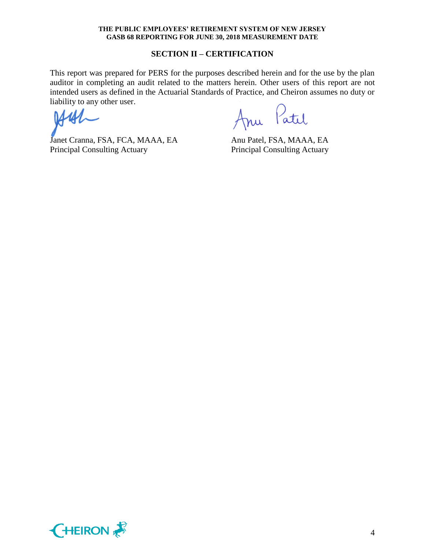#### **SECTION II – CERTIFICATION**

This report was prepared for PERS for the purposes described herein and for the use by the plan auditor in completing an audit related to the matters herein. Other users of this report are not intended users as defined in the Actuarial Standards of Practice, and Cheiron assumes no duty or liability to any other user.

Janet Cranna, FSA, FCA, MAAA, EA Anu Patel, FSA, MAAA, EA Principal Consulting Actuary Principal Consulting Actuary

nu Patil

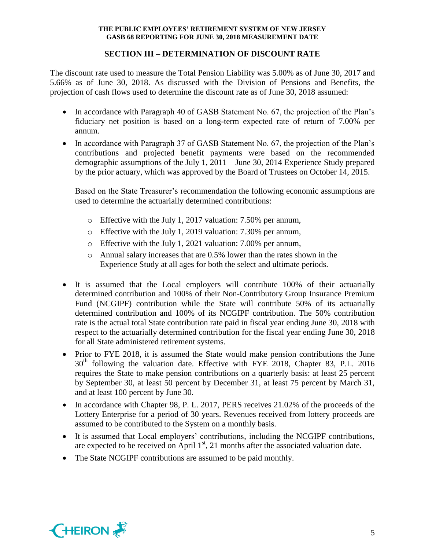## **SECTION III – DETERMINATION OF DISCOUNT RATE**

The discount rate used to measure the Total Pension Liability was 5.00% as of June 30, 2017 and 5.66% as of June 30, 2018. As discussed with the Division of Pensions and Benefits, the projection of cash flows used to determine the discount rate as of June 30, 2018 assumed:

- In accordance with Paragraph 40 of GASB Statement No. 67, the projection of the Plan's fiduciary net position is based on a long-term expected rate of return of 7.00% per annum.
- In accordance with Paragraph 37 of GASB Statement No. 67, the projection of the Plan's contributions and projected benefit payments were based on the recommended demographic assumptions of the July 1, 2011 – June 30, 2014 Experience Study prepared by the prior actuary, which was approved by the Board of Trustees on October 14, 2015.

Based on the State Treasurer's recommendation the following economic assumptions are used to determine the actuarially determined contributions:

- o Effective with the July 1, 2017 valuation: 7.50% per annum,
- o Effective with the July 1, 2019 valuation: 7.30% per annum,
- o Effective with the July 1, 2021 valuation: 7.00% per annum,
- o Annual salary increases that are 0.5% lower than the rates shown in the Experience Study at all ages for both the select and ultimate periods.
- It is assumed that the Local employers will contribute 100% of their actuarially determined contribution and 100% of their Non-Contributory Group Insurance Premium Fund (NCGIPF) contribution while the State will contribute 50% of its actuarially determined contribution and 100% of its NCGIPF contribution. The 50% contribution rate is the actual total State contribution rate paid in fiscal year ending June 30, 2018 with respect to the actuarially determined contribution for the fiscal year ending June 30, 2018 for all State administered retirement systems.
- Prior to FYE 2018, it is assumed the State would make pension contributions the June  $30<sup>th</sup>$  following the valuation date. Effective with FYE 2018, Chapter 83, P.L. 2016 requires the State to make pension contributions on a quarterly basis: at least 25 percent by September 30, at least 50 percent by December 31, at least 75 percent by March 31, and at least 100 percent by June 30.
- In accordance with Chapter 98, P. L. 2017, PERS receives 21.02% of the proceeds of the Lottery Enterprise for a period of 30 years. Revenues received from lottery proceeds are assumed to be contributed to the System on a monthly basis.
- It is assumed that Local employers' contributions, including the NCGIPF contributions, are expected to be received on April  $1<sup>st</sup>$ , 21 months after the associated valuation date.
- The State NCGIPF contributions are assumed to be paid monthly.

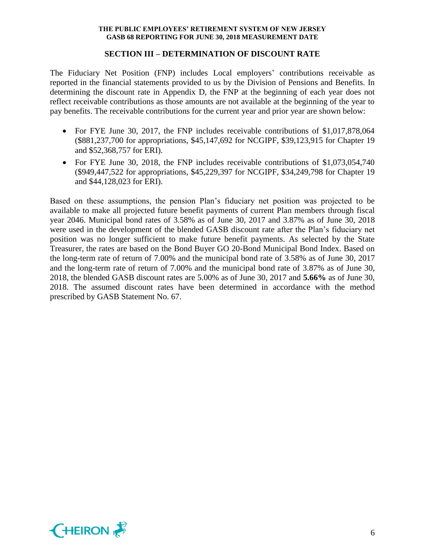#### **SECTION III – DETERMINATION OF DISCOUNT RATE**

The Fiduciary Net Position (FNP) includes Local employers' contributions receivable as reported in the financial statements provided to us by the Division of Pensions and Benefits. In determining the discount rate in Appendix D, the FNP at the beginning of each year does not reflect receivable contributions as those amounts are not available at the beginning of the year to pay benefits. The receivable contributions for the current year and prior year are shown below:

- For FYE June 30, 2017, the FNP includes receivable contributions of \$1,017,878,064 (\$881,237,700 for appropriations, \$45,147,692 for NCGIPF, \$39,123,915 for Chapter 19 and \$52,368,757 for ERI).
- For FYE June 30, 2018, the FNP includes receivable contributions of \$1,073,054,740 (\$949,447,522 for appropriations, \$45,229,397 for NCGIPF, \$34,249,798 for Chapter 19 and \$44,128,023 for ERI).

Based on these assumptions, the pension Plan's fiduciary net position was projected to be available to make all projected future benefit payments of current Plan members through fiscal year 2046. Municipal bond rates of 3.58% as of June 30, 2017 and 3.87% as of June 30, 2018 were used in the development of the blended GASB discount rate after the Plan's fiduciary net position was no longer sufficient to make future benefit payments. As selected by the State Treasurer, the rates are based on the Bond Buyer GO 20-Bond Municipal Bond Index. Based on the long-term rate of return of 7.00% and the municipal bond rate of 3.58% as of June 30, 2017 and the long-term rate of return of 7.00% and the municipal bond rate of 3.87% as of June 30, 2018, the blended GASB discount rates are 5.00% as of June 30, 2017 and **5.66%** as of June 30, 2018. The assumed discount rates have been determined in accordance with the method prescribed by GASB Statement No. 67.

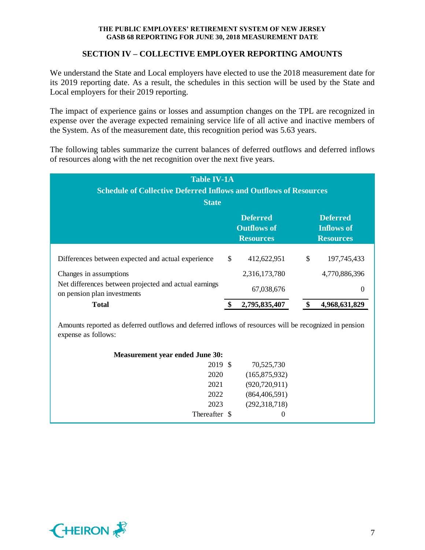## **SECTION IV – COLLECTIVE EMPLOYER REPORTING AMOUNTS**

We understand the State and Local employers have elected to use the 2018 measurement date for its 2019 reporting date. As a result, the schedules in this section will be used by the State and Local employers for their 2019 reporting.

The impact of experience gains or losses and assumption changes on the TPL are recognized in expense over the average expected remaining service life of all active and inactive members of the System. As of the measurement date, this recognition period was 5.63 years.

The following tables summarize the current balances of deferred outflows and deferred inflows of resources along with the net recognition over the next five years.

| <b>Table IV-1A</b><br><b>Schedule of Collective Deferred Inflows and Outflows of Resources</b><br><b>State</b> |    |                                                           |                                                          |               |  |  |  |
|----------------------------------------------------------------------------------------------------------------|----|-----------------------------------------------------------|----------------------------------------------------------|---------------|--|--|--|
|                                                                                                                |    | <b>Deferred</b><br><b>Outflows of</b><br><b>Resources</b> | <b>Deferred</b><br><b>Inflows of</b><br><b>Resources</b> |               |  |  |  |
| Differences between expected and actual experience                                                             | \$ | 412,622,951                                               | \$                                                       | 197, 745, 433 |  |  |  |
| Changes in assumptions                                                                                         |    | 2,316,173,780                                             |                                                          | 4,770,886,396 |  |  |  |
| Net differences between projected and actual earnings<br>on pension plan investments                           |    | 67,038,676                                                |                                                          | 0             |  |  |  |
| <b>Total</b>                                                                                                   |    | 2,795,835,407                                             |                                                          | 4,968,631,829 |  |  |  |

Amounts reported as deferred outflows and deferred inflows of resources will be recognized in pension expense as follows:

| <b>Measurement year ended June 30:</b> |                 |  |
|----------------------------------------|-----------------|--|
| 2019 \$                                | 70,525,730      |  |
| 2020                                   | (165,875,932)   |  |
| 2021                                   | (920, 720, 911) |  |
| 2022                                   | (864, 406, 591) |  |
| 2023                                   | (292, 318, 718) |  |
| Thereafter \$                          | 0               |  |

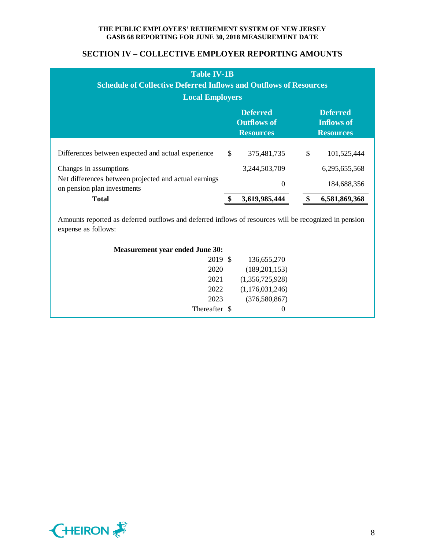## **SECTION IV – COLLECTIVE EMPLOYER REPORTING AMOUNTS**

| <b>Table IV-1B</b><br><b>Schedule of Collective Deferred Inflows and Outflows of Resources</b><br><b>Local Employers</b> |                                                           |               |    |                                                          |  |  |  |  |
|--------------------------------------------------------------------------------------------------------------------------|-----------------------------------------------------------|---------------|----|----------------------------------------------------------|--|--|--|--|
|                                                                                                                          | <b>Deferred</b><br><b>Outflows of</b><br><b>Resources</b> |               |    | <b>Deferred</b><br><b>Inflows of</b><br><b>Resources</b> |  |  |  |  |
| Differences between expected and actual experience                                                                       | $\mathbb{S}$                                              | 375,481,735   | \$ | 101,525,444                                              |  |  |  |  |
| Changes in assumptions                                                                                                   |                                                           | 3,244,503,709 |    | 6,295,655,568                                            |  |  |  |  |
| Net differences between projected and actual earnings<br>on pension plan investments                                     |                                                           | 0             |    | 184,688,356                                              |  |  |  |  |
| <b>Total</b>                                                                                                             |                                                           | 3,619,985,444 |    | 6,581,869,368                                            |  |  |  |  |

Amounts reported as deferred outflows and deferred inflows of resources will be recognized in pension expense as follows:

| 2019 \$       | 136,655,270     |  |
|---------------|-----------------|--|
| 2020          | (189,201,153)   |  |
| 2021          | (1,356,725,928) |  |
| 2022          | (1,176,031,246) |  |
| 2023          | (376,580,867)   |  |
| Thereafter \$ | 0               |  |
|               |                 |  |

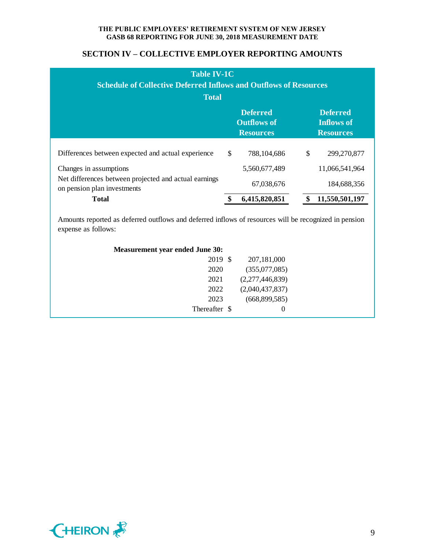| <b>Table IV-1C</b><br><b>Schedule of Collective Deferred Inflows and Outflows of Resources</b><br><b>Total</b> |                                                           |               |                                                          |                |
|----------------------------------------------------------------------------------------------------------------|-----------------------------------------------------------|---------------|----------------------------------------------------------|----------------|
|                                                                                                                | <b>Deferred</b><br><b>Outflows of</b><br><b>Resources</b> |               | <b>Deferred</b><br><b>Inflows of</b><br><b>Resources</b> |                |
| Differences between expected and actual experience                                                             | $\mathbb{S}$                                              | 788,104,686   | \$                                                       | 299,270,877    |
| Changes in assumptions                                                                                         |                                                           | 5,560,677,489 |                                                          | 11,066,541,964 |
| Net differences between projected and actual earnings<br>on pension plan investments                           |                                                           | 67,038,676    |                                                          | 184,688,356    |
| <b>Total</b>                                                                                                   |                                                           | 6,415,820,851 | \$                                                       | 11,550,501,197 |

| <b>Measurement year ended June 30:</b> |               |                 |  |
|----------------------------------------|---------------|-----------------|--|
|                                        | 2019 \$       | 207,181,000     |  |
|                                        | 2020          | (355,077,085)   |  |
|                                        | 2021          | (2,277,446,839) |  |
|                                        | 2022          | (2,040,437,837) |  |
|                                        | 2023          | (668,899,585)   |  |
|                                        | Thereafter \$ | $\theta$        |  |
|                                        |               |                 |  |

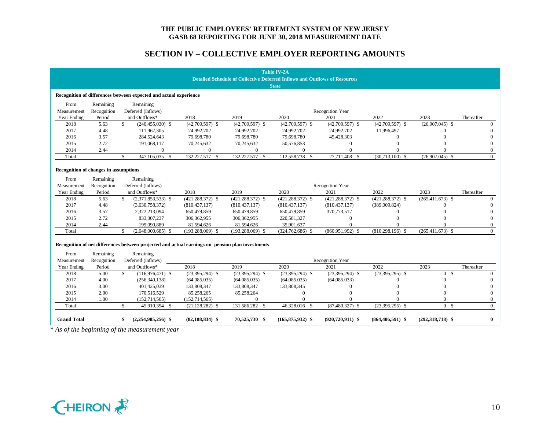|                                       |                          | * As of the beginning of the measurement year                                                                 |                      |                      |                                                                                   |                      |                      |                      |              |
|---------------------------------------|--------------------------|---------------------------------------------------------------------------------------------------------------|----------------------|----------------------|-----------------------------------------------------------------------------------|----------------------|----------------------|----------------------|--------------|
| <b>Grand Total</b>                    |                          | $(2,254,985,256)$ \$                                                                                          | $(82, 188, 834)$ \$  | 70,525,730 \$        | $(165, 875, 932)$ \$                                                              | $(920, 720, 911)$ \$ | $(864, 406, 591)$ \$ | $(292, 318, 718)$ \$ | $\mathbf{0}$ |
| Total                                 |                          | $\mathcal{S}$<br>45,910,394 \$                                                                                | $(21, 128, 282)$ \$  | 131,586,282 \$       | 46,328,016 \$                                                                     | $(87,480,327)$ \$    | $(23,395,295)$ \$    | 0 <sup>5</sup>       | $\Omega$     |
| 2014                                  | 1.00                     | (152, 714, 565)                                                                                               | (152, 714, 565)      | $\mathbf{0}$         | $\Omega$                                                                          |                      |                      | $\Omega$             | $\Omega$     |
| 2015                                  | 2.00                     | 170,516,529                                                                                                   | 85,258,265           | 85,258,264           | $\theta$                                                                          | $\Omega$             |                      | $\Omega$             | $\Omega$     |
| 2016                                  | 3.00                     | 401,425,039                                                                                                   | 133,808,347          | 133,808,347          | 133,808,345                                                                       | $\Omega$             |                      | $\Omega$             |              |
| 2017                                  | 4.00                     | (256,340,138)                                                                                                 | (64,085,035)         | (64,085,035)         | (64,085,035)                                                                      | (64,085,033)         | $\Omega$             | $\Omega$             | $\Omega$     |
| 2018                                  | 5.00                     | $\mathbf{s}$<br>$(116,976,471)$ \$                                                                            | $(23,395,294)$ \$    | $(23,395,294)$ \$    | $(23,395,294)$ \$                                                                 | $(23,395,294)$ \$    | $(23,395,295)$ \$    | 0 S                  | $\Omega$     |
| Year Ending                           | Period                   | and Outflows*                                                                                                 | 2018                 | 2019                 | 2020                                                                              | 2021                 | 2022                 | 2023                 | Thereafter   |
| Measurement                           | Recognition              | Deferred (Inflows)                                                                                            |                      |                      |                                                                                   | Recognition Year     |                      |                      |              |
| From                                  | Remaining                | Recognition of net differences between projected and actual earnings on pension plan investments<br>Remaining |                      |                      |                                                                                   |                      |                      |                      |              |
|                                       |                          |                                                                                                               |                      |                      |                                                                                   |                      |                      |                      |              |
| Total                                 |                          | \$<br>$(2,648,000,685)$ \$                                                                                    | $(193, 288, 069)$ \$ | $(193, 288, 069)$ \$ | $(324, 762, 686)$ \$                                                              | $(860,951,992)$ \$   | $(810, 298, 196)$ \$ | $(265, 411, 673)$ \$ | $\Omega$     |
| 2014                                  | 2.44                     | 199,090,889                                                                                                   | 81,594,626           | 81,594,626           | 35,901,637                                                                        | $\Omega$             |                      |                      |              |
| 2015                                  | 2.72                     | 833, 307, 237                                                                                                 | 306, 362, 955        | 306,362,955          | 220,581,327                                                                       | $\mathbf{0}$         |                      |                      |              |
| 2016                                  | 3.57                     | 2,322,213,094                                                                                                 | 650,479,859          | 650,479,859          | 650,479,859                                                                       | 370,773,517          |                      |                      | $\Omega$     |
| 2017                                  | 4.48                     | (3,630,758,372)                                                                                               | (810, 437, 137)      | (810, 437, 137)      | (810, 437, 137)                                                                   | (810, 437, 137)      | (389,009,824)        |                      |              |
| 2018                                  | 5.63                     | $\mathbb{S}$<br>$(2,371,853,533)$ \$                                                                          | $(421, 288, 372)$ \$ | $(421, 288, 372)$ \$ | $(421, 288, 372)$ \$                                                              | $(421, 288, 372)$ \$ | $(421, 288, 372)$ \$ | $(265, 411, 673)$ \$ | $\Omega$     |
| Year Ending                           | Period                   | and Outflows*                                                                                                 | 2018                 | 2019                 | 2020                                                                              | 2021                 | 2022                 | 2023                 | Thereafter   |
| From<br>Measurement                   | Remaining<br>Recognition | Remaining<br>Deferred (Inflows)                                                                               |                      |                      |                                                                                   | Recognition Year     |                      |                      |              |
| Recognition of changes in assumptions |                          |                                                                                                               |                      |                      |                                                                                   |                      |                      |                      |              |
| Total                                 |                          | $\mathbb{S}$<br>347,105,035 \$                                                                                | 132,227,517 \$       | 132,227,517 \$       | 112,558,738 \$                                                                    | 27,711,408 \$        | $(30,713,100)$ \$    | $(26,907,045)$ \$    | $\Omega$     |
| 2014                                  | 2.44                     | $\overline{0}$                                                                                                | $\mathbf{0}$         | $\boldsymbol{0}$     | $\mathbf{0}$                                                                      | $\Omega$             | $\Omega$             |                      | $\mathbf{0}$ |
| 2015                                  | 2.72                     | 191,068,117                                                                                                   | 70,245,632           | 70,245,632           | 50,576,853                                                                        | $\Omega$             |                      |                      | $\Omega$     |
| 2016                                  | 3.57                     | 284,524,643                                                                                                   | 79,698,780           | 79,698,780           | 79,698,780                                                                        | 45,428,303           | $\Omega$             |                      | $\Omega$     |
| 2017                                  | 4.48                     | 111,967,305                                                                                                   | 24,992,702           | 24,992,702           | 24,992,702                                                                        | 24,992,702           | 11,996,497           |                      |              |
| 2018                                  | 5.63                     | \$<br>$(240, 455, 030)$ \$                                                                                    | $(42,709,597)$ \$    | $(42,709,597)$ \$    | $(42,709,597)$ \$                                                                 | $(42,709,597)$ \$    | $(42,709,597)$ \$    | $(26,907,045)$ \$    | $\Omega$     |
| Year Ending                           | Period                   | and Outflows*                                                                                                 | 2018                 | 2019                 | 2020                                                                              | 2021                 | 2022                 | 2023                 | Thereafter   |
| Measurement                           | Recognition              | Deferred (Inflows)                                                                                            |                      |                      |                                                                                   | Recognition Year     |                      |                      |              |
| From                                  | Remaining                | Remaining                                                                                                     |                      |                      |                                                                                   |                      |                      |                      |              |
|                                       |                          | Recognition of differences between expected and actual experience                                             |                      |                      |                                                                                   |                      |                      |                      |              |
|                                       |                          |                                                                                                               |                      |                      | <b>State</b>                                                                      |                      |                      |                      |              |
|                                       |                          |                                                                                                               |                      |                      | <b>Detailed Schedule of Collective Deferred Inflows and Outflows of Resources</b> |                      |                      |                      |              |
|                                       |                          |                                                                                                               |                      |                      | <b>Table IV-2A</b>                                                                |                      |                      |                      |              |

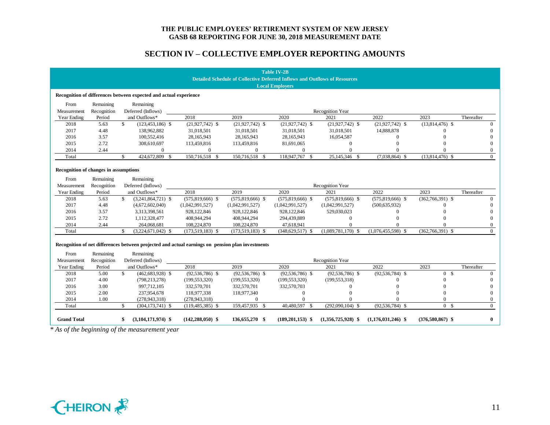|                                       |             |                                                                                                  |                      |                    | <b>Table IV-2B</b><br><b>Detailed Schedule of Collective Deferred Inflows and Outflows of Resources</b> |                      |                      |                    |                |
|---------------------------------------|-------------|--------------------------------------------------------------------------------------------------|----------------------|--------------------|---------------------------------------------------------------------------------------------------------|----------------------|----------------------|--------------------|----------------|
|                                       |             |                                                                                                  |                      |                    | <b>Local Employers</b>                                                                                  |                      |                      |                    |                |
|                                       |             | Recognition of differences between expected and actual experience                                |                      |                    |                                                                                                         |                      |                      |                    |                |
| From                                  | Remaining   | Remaining                                                                                        |                      |                    |                                                                                                         |                      |                      |                    |                |
| Measurement                           | Recognition | Deferred (Inflows)                                                                               |                      |                    |                                                                                                         | Recognition Year     |                      |                    |                |
| Year Ending                           | Period      | and Outflows*                                                                                    | 2018                 | 2019               | 2020                                                                                                    | 2021                 | 2022                 | 2023               | Thereafter     |
| 2018                                  | 5.63        | \$<br>$(123, 453, 186)$ \$                                                                       | $(21,927,742)$ \$    | $(21,927,742)$ \$  | $(21,927,742)$ \$                                                                                       | $(21,927,742)$ \$    | $(21,927,742)$ \$    | $(13,814,476)$ \$  | $\Omega$       |
| 2017                                  | 4.48        | 138,962,882                                                                                      | 31,018,501           | 31,018,501         | 31,018,501                                                                                              | 31,018,501           | 14,888,878           |                    | $\Omega$       |
| 2016                                  | 3.57        | 100,552,416                                                                                      | 28,165,943           | 28,165,943         | 28,165,943                                                                                              | 16,054,587           | $\theta$             | $\Omega$           | $\Omega$       |
| 2015                                  | 2.72        | 308,610,697                                                                                      | 113,459,816          | 113,459,816        | 81,691,065                                                                                              | $\theta$             | $\Omega$             |                    | $\Omega$       |
| 2014                                  | 2.44        | $\overline{0}$                                                                                   | $\mathbf{0}$         | $\mathbf{0}$       | $\mathbf{0}$                                                                                            | $\Omega$             | $\theta$             |                    | $\overline{0}$ |
| Total                                 |             | $\mathbf{s}$<br>424,672,809 \$                                                                   | 150,716,518 \$       | 150,716,518 \$     | 118,947,767 \$                                                                                          | 25,145,346 \$        | $(7,038,864)$ \$     | $(13,814,476)$ \$  | $\Omega$       |
| Recognition of changes in assumptions |             |                                                                                                  |                      |                    |                                                                                                         |                      |                      |                    |                |
| From                                  | Remaining   | Remaining                                                                                        |                      |                    |                                                                                                         |                      |                      |                    |                |
| Measurement                           | Recognition | Deferred (Inflows)                                                                               |                      |                    |                                                                                                         | Recognition Year     |                      |                    |                |
| Year Ending                           | Period      | and Outflows*                                                                                    | 2018                 | 2019               | 2020                                                                                                    | 2021                 | 2022                 | 2023               | Thereafter     |
| 2018                                  | 5.63        | \$<br>$(3,241,864,721)$ \$                                                                       | $(575,819,666)$ \$   | $(575,819,666)$ \$ | $(575,819,666)$ \$                                                                                      | $(575,819,666)$ \$   | $(575,819,666)$ \$   | $(362,766,391)$ \$ | $\Omega$       |
| 2017                                  | 4.48        | (4,672,602,040)                                                                                  | (1,042,991,527)      | (1,042,991,527)    | (1,042,991,527)                                                                                         | (1,042,991,527)      | (500, 635, 932)      |                    | $\Omega$       |
| 2016                                  | 3.57        | 3,313,398,561                                                                                    | 928,122,846          | 928,122,846        | 928,122,846                                                                                             | 529,030,023          |                      |                    | $\Omega$       |
| 2015                                  | 2.72        | 1,112,328,477                                                                                    | 408,944,294          | 408,944,294        | 294,439,889                                                                                             | $\theta$             | O                    | $\Omega$           | $\Omega$       |
| 2014                                  | 2.44        | 264,068,681                                                                                      | 108,224,870          | 108,224,870        | 47,618,941                                                                                              | $\Omega$             |                      | $\Omega$           | $\Omega$       |
| Total                                 |             | $\mathbf{s}$<br>$(3,224,671,042)$ \$                                                             | $(173,519,183)$ \$   | $(173,519,183)$ \$ | $(348, 629, 517)$ \$                                                                                    | $(1,089,781,170)$ \$ | $(1,076,455,598)$ \$ | $(362,766,391)$ \$ | $\Omega$       |
|                                       |             | Recognition of net differences between projected and actual earnings on pension plan investments |                      |                    |                                                                                                         |                      |                      |                    |                |
| From                                  | Remaining   | Remaining                                                                                        |                      |                    |                                                                                                         |                      |                      |                    |                |
| Measurement                           | Recognition | Deferred (Inflows)                                                                               |                      |                    |                                                                                                         | Recognition Year     |                      |                    |                |
| Year Ending                           | Period      | and Outflows*                                                                                    | 2018                 | 2019               | 2020                                                                                                    | 2021                 | 2022                 | 2023               | Thereafter     |
| 2018                                  | 5.00        | $\mathbf{s}$<br>$(462, 683, 928)$ \$                                                             | $(92, 536, 786)$ \$  | $(92,536,786)$ \$  | $(92, 536, 786)$ \$                                                                                     | $(92,536,786)$ \$    | $(92, 536, 784)$ \$  | 0 <sup>5</sup>     | $\Omega$       |
| 2017                                  | 4.00        | (798, 213, 278)                                                                                  | (199, 553, 320)      | (199, 553, 320)    | (199, 553, 320)                                                                                         | (199, 553, 318)      | 0                    | $\Omega$           | $\Omega$       |
| 2016                                  | 3.00        | 997,712,105                                                                                      | 332,570,701          | 332,570,701        | 332,570,703                                                                                             | $\Omega$             |                      | $\Omega$           | $\theta$       |
| 2015                                  | 2.00        | 237,954,678                                                                                      | 118,977,338          | 118,977,340        | $\mathbf{0}$                                                                                            | $\theta$             | 0                    | $\Omega$           | $\Omega$       |
| 2014                                  | 1.00        | (278, 943, 318)                                                                                  | (278, 943, 318)      | $\Omega$           | $\Omega$                                                                                                | $\Omega$             | $\Omega$             | $\Omega$           | $\overline{0}$ |
| Total                                 |             | \$<br>$(304, 173, 741)$ \$                                                                       | $(119, 485, 385)$ \$ | 159,457,935 \$     | 40,480,597 \$                                                                                           | $(292,090,104)$ \$   | $(92, 536, 784)$ \$  | 0 <sup>5</sup>     | $\Omega$       |
| <b>Grand Total</b>                    |             | $(3,104,171,974)$ \$<br>\$                                                                       | $(142, 288, 050)$ \$ | 136,655,270 \$     | $(189, 201, 153)$ \$                                                                                    | $(1,356,725,928)$ \$ | $(1,176,031,246)$ \$ | $(376,580,867)$ \$ | $\mathbf{0}$   |
|                                       |             | * As of the beginning of the measurement year                                                    |                      |                    |                                                                                                         |                      |                      |                    |                |

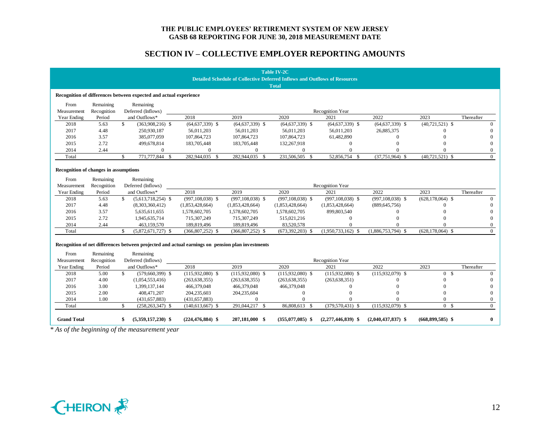|                                       |             |                                                                                                  |                      |                                                                                   | <b>Table IV-2C</b>   |                      |                      |                      |              |
|---------------------------------------|-------------|--------------------------------------------------------------------------------------------------|----------------------|-----------------------------------------------------------------------------------|----------------------|----------------------|----------------------|----------------------|--------------|
|                                       |             |                                                                                                  |                      | <b>Detailed Schedule of Collective Deferred Inflows and Outflows of Resources</b> | <b>Total</b>         |                      |                      |                      |              |
|                                       |             |                                                                                                  |                      |                                                                                   |                      |                      |                      |                      |              |
|                                       |             | Recognition of differences between expected and actual experience                                |                      |                                                                                   |                      |                      |                      |                      |              |
| From                                  | Remaining   | Remaining                                                                                        |                      |                                                                                   |                      |                      |                      |                      |              |
| Measurement                           | Recognition | Deferred (Inflows)                                                                               |                      |                                                                                   |                      | Recognition Year     |                      |                      |              |
| Year Ending                           | Period      | and Outflows*                                                                                    | 2018                 | 2019                                                                              | 2020                 | 2021                 | 2022                 | 2023                 | Thereafter   |
| 2018                                  | 5.63        | $\mathbf{s}$<br>$(363,908,216)$ \$                                                               | $(64, 637, 339)$ \$  | $(64, 637, 339)$ \$                                                               | $(64, 637, 339)$ \$  | $(64, 637, 339)$ \$  | $(64, 637, 339)$ \$  | $(40,721,521)$ \$    | $\Omega$     |
| 2017                                  | 4.48        | 250,930,187                                                                                      | 56,011,203           | 56,011,203                                                                        | 56,011,203           | 56,011,203           | 26,885,375           |                      | $\Omega$     |
| 2016                                  | 3.57        | 385,077,059                                                                                      | 107,864,723          | 107,864,723                                                                       | 107,864,723          | 61,482,890           | $\mathbf{0}$         | $\Omega$             | $\Omega$     |
| 2015                                  | 2.72        | 499,678,814                                                                                      | 183,705,448          | 183,705,448                                                                       | 132,267,918          | $\Omega$             | $\Omega$             |                      | $\Omega$     |
| 2014                                  | 2.44        | $\overline{0}$                                                                                   | $\overline{0}$       | $\boldsymbol{0}$                                                                  | $\boldsymbol{0}$     | $\Omega$             | $\Omega$             | $\Omega$             | $\mathbf{0}$ |
| Total                                 |             | $\mathbf{s}$<br>771,777,844 \$                                                                   | 282,944,035 \$       | 282,944,035 \$                                                                    | 231,506,505 \$       | 52,856,754 \$        | $(37,751,964)$ \$    | $(40,721,521)$ \$    | $\theta$     |
|                                       |             |                                                                                                  |                      |                                                                                   |                      |                      |                      |                      |              |
| Recognition of changes in assumptions |             |                                                                                                  |                      |                                                                                   |                      |                      |                      |                      |              |
| From                                  | Remaining   | Remaining                                                                                        |                      |                                                                                   |                      |                      |                      |                      |              |
| Measurement                           | Recognition | Deferred (Inflows)                                                                               |                      |                                                                                   |                      | Recognition Year     |                      |                      |              |
| Year Ending                           | Period      | and Outflows*                                                                                    | 2018                 | 2019                                                                              | 2020                 | 2021                 | 2022                 | 2023                 | Thereafter   |
| 2018                                  | 5.63        | \$<br>$(5,613,718,254)$ \$                                                                       | $(997, 108, 038)$ \$ | $(997, 108, 038)$ \$                                                              | $(997, 108, 038)$ \$ | $(997, 108, 038)$ \$ | $(997, 108, 038)$ \$ | $(628, 178, 064)$ \$ | $\Omega$     |
| 2017                                  | 4.48        | (8,303,360,412)                                                                                  | (1,853,428,664)      | (1,853,428,664)                                                                   | (1,853,428,664)      | (1,853,428,664)      | (889, 645, 756)      |                      | $\Omega$     |
| 2016                                  | 3.57        | 5,635,611,655                                                                                    | 1,578,602,705        | 1,578,602,705                                                                     | 1,578,602,705        | 899,803,540          | $\Omega$             |                      | $\Omega$     |
| 2015                                  | 2.72        | 1,945,635,714                                                                                    | 715,307,249          | 715,307,249                                                                       | 515,021,216          | $\theta$             | $\Omega$             |                      | $\Omega$     |
| 2014                                  | 2.44        | 463,159,570                                                                                      | 189,819,496          | 189,819,496                                                                       | 83,520,578           | $\Omega$             |                      | $\Omega$             | $\Omega$     |
| Total                                 |             | \$<br>$(5,872,671,727)$ \$                                                                       | $(366, 807, 252)$ \$ | $(366,807,252)$ \$                                                                | $(673,392,203)$ \$   | $(1,950,733,162)$ \$ | $(1,886,753,794)$ \$ | $(628, 178, 064)$ \$ | $\theta$     |
|                                       |             |                                                                                                  |                      |                                                                                   |                      |                      |                      |                      |              |
|                                       |             | Recognition of net differences between projected and actual earnings on pension plan investments |                      |                                                                                   |                      |                      |                      |                      |              |
| From                                  | Remaining   | Remaining                                                                                        |                      |                                                                                   |                      |                      |                      |                      |              |
| Measurement                           | Recognition | Deferred (Inflows)                                                                               |                      |                                                                                   |                      | Recognition Year     |                      |                      |              |
| Year Ending                           | Period      | and Outflows*                                                                                    | 2018                 | 2019                                                                              | 2020                 | 2021                 | 2022                 | 2023                 | Thereafter   |
| 2018                                  | 5.00        | $\mathbf{s}$<br>$(579,660,399)$ \$                                                               | $(115,932,080)$ \$   | $(115,932,080)$ \$                                                                | $(115,932,080)$ \$   | $(115,932,080)$ \$   | $(115.932.079)$ \$   | 0 S                  | $\Omega$     |
| 2017                                  | 4.00        | (1,054,553,416)                                                                                  | (263, 638, 355)      | (263, 638, 355)                                                                   | (263, 638, 355)      | (263, 638, 351)      |                      | $\Omega$             | $\Omega$     |
| 2016                                  | 3.00        | 1,399,137,144                                                                                    | 466,379,048          | 466,379,048                                                                       | 466,379,048          | $\Omega$             | $\Omega$             | $\Omega$             | $\Omega$     |
| 2015                                  | 2.00        | 408,471,207                                                                                      | 204,235,603          | 204,235,604                                                                       | $\boldsymbol{0}$     | $\Omega$             |                      | $\Omega$             | $\Omega$     |
| 2014                                  | 1.00        | (431, 657, 883)                                                                                  | (431, 657, 883)      | $\mathbf{0}$                                                                      | $\theta$             | $\Omega$             |                      | $\Omega$             | $\mathbf{0}$ |
| Total                                 |             | $\mathcal{S}$<br>$(258, 263, 347)$ \$                                                            | $(140,613,667)$ \$   | 291,044,217 \$                                                                    | 86,808,613 \$        | $(379,570,431)$ \$   | $(115.932.079)$ \$   | 0 S                  | $\Omega$     |
| <b>Grand Total</b>                    |             | $(5,359,157,230)$ \$<br>\$                                                                       | $(224, 476, 884)$ \$ | 207,181,000 \$                                                                    | $(355,077,085)$ \$   | $(2,277,446,839)$ \$ | $(2,040,437,837)$ \$ | $(668,899,585)$ \$   | $\bf{0}$     |
|                                       |             | * As of the beginning of the measurement year                                                    |                      |                                                                                   |                      |                      |                      |                      |              |

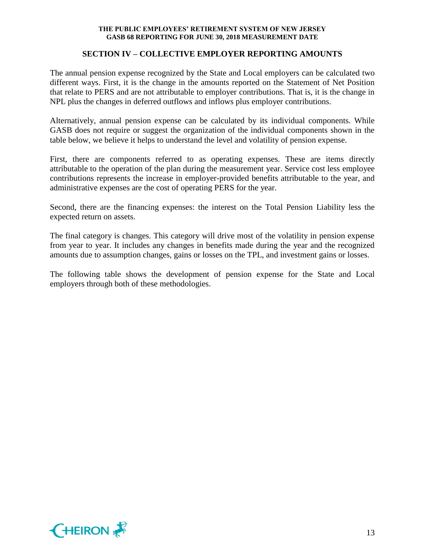## **SECTION IV – COLLECTIVE EMPLOYER REPORTING AMOUNTS**

The annual pension expense recognized by the State and Local employers can be calculated two different ways. First, it is the change in the amounts reported on the Statement of Net Position that relate to PERS and are not attributable to employer contributions. That is, it is the change in NPL plus the changes in deferred outflows and inflows plus employer contributions.

Alternatively, annual pension expense can be calculated by its individual components. While GASB does not require or suggest the organization of the individual components shown in the table below, we believe it helps to understand the level and volatility of pension expense.

First, there are components referred to as operating expenses. These are items directly attributable to the operation of the plan during the measurement year. Service cost less employee contributions represents the increase in employer-provided benefits attributable to the year, and administrative expenses are the cost of operating PERS for the year.

Second, there are the financing expenses: the interest on the Total Pension Liability less the expected return on assets.

The final category is changes. This category will drive most of the volatility in pension expense from year to year. It includes any changes in benefits made during the year and the recognized amounts due to assumption changes, gains or losses on the TPL, and investment gains or losses.

The following table shows the development of pension expense for the State and Local employers through both of these methodologies.

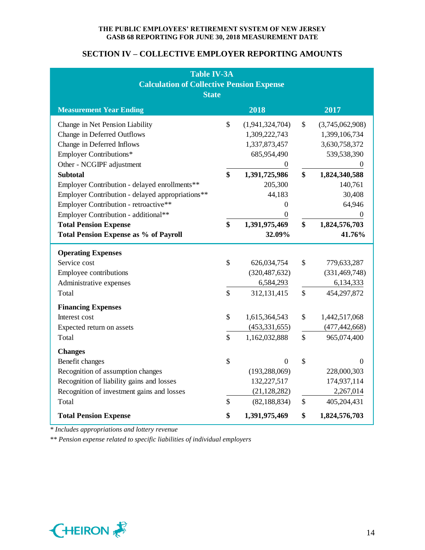## **SECTION IV – COLLECTIVE EMPLOYER REPORTING AMOUNTS**

| <b>Table IV-3A</b><br><b>Calculation of Collective Pension Expense</b><br><b>State</b>                                                                                                                                                                                                                                                                                                               |                |                                                                                                                                                                                 |                     |                                                                                                                                                           |  |  |
|------------------------------------------------------------------------------------------------------------------------------------------------------------------------------------------------------------------------------------------------------------------------------------------------------------------------------------------------------------------------------------------------------|----------------|---------------------------------------------------------------------------------------------------------------------------------------------------------------------------------|---------------------|-----------------------------------------------------------------------------------------------------------------------------------------------------------|--|--|
| <b>Measurement Year Ending</b>                                                                                                                                                                                                                                                                                                                                                                       |                | 2018                                                                                                                                                                            |                     | 2017                                                                                                                                                      |  |  |
| Change in Net Pension Liability<br>Change in Deferred Outflows<br>Change in Deferred Inflows<br><b>Employer Contributions*</b><br>Other - NCGIPF adjustment<br><b>Subtotal</b><br>Employer Contribution - delayed enrollments**<br>Employer Contribution - delayed appropriations**<br>Employer Contribution - retroactive**<br>Employer Contribution - additional**<br><b>Total Pension Expense</b> | \$<br>\$<br>\$ | (1,941,324,704)<br>1,309,222,743<br>1,337,873,457<br>685,954,490<br>$\mathbf{0}$<br>1,391,725,986<br>205,300<br>44,183<br>$\boldsymbol{0}$<br>$\boldsymbol{0}$<br>1,391,975,469 | \$<br>\$<br>\$      | (3,745,062,908)<br>1,399,106,734<br>3,630,758,372<br>539,538,390<br>$\theta$<br>1,824,340,588<br>140,761<br>30,408<br>64,946<br>$\theta$<br>1,824,576,703 |  |  |
| <b>Total Pension Expense as % of Payroll</b>                                                                                                                                                                                                                                                                                                                                                         |                | 32.09%                                                                                                                                                                          |                     | 41.76%                                                                                                                                                    |  |  |
| <b>Operating Expenses</b><br>Service cost<br>Employee contributions<br>Administrative expenses<br>Total                                                                                                                                                                                                                                                                                              | \$<br>\$       | 626,034,754<br>(320, 487, 632)<br>6,584,293<br>312,131,415                                                                                                                      | \$<br>$\mathcal{S}$ | 779,633,287<br>(331, 469, 748)<br>6,134,333<br>454,297,872                                                                                                |  |  |
| <b>Financing Expenses</b><br>Interest cost<br>Expected return on assets<br>Total                                                                                                                                                                                                                                                                                                                     | \$<br>\$       | 1,615,364,543<br>(453, 331, 655)<br>1,162,032,888                                                                                                                               | \$<br>\$            | 1,442,517,068<br>(477, 442, 668)<br>965,074,400                                                                                                           |  |  |
| <b>Changes</b><br>Benefit changes<br>Recognition of assumption changes<br>Recognition of liability gains and losses<br>Recognition of investment gains and losses<br>Total<br><b>Total Pension Expense</b>                                                                                                                                                                                           | \$<br>\$<br>\$ | $\overline{0}$<br>(193, 288, 069)<br>132,227,517<br>(21, 128, 282)<br>(82, 188, 834)<br>1,391,975,469                                                                           | \$<br>\$<br>\$      | $\Omega$<br>228,000,303<br>174,937,114<br>2,267,014<br>405,204,431<br>1,824,576,703                                                                       |  |  |

*\* Includes appropriations and lottery revenue*

*\*\* Pension expense related to specific liabilities of individual employers*

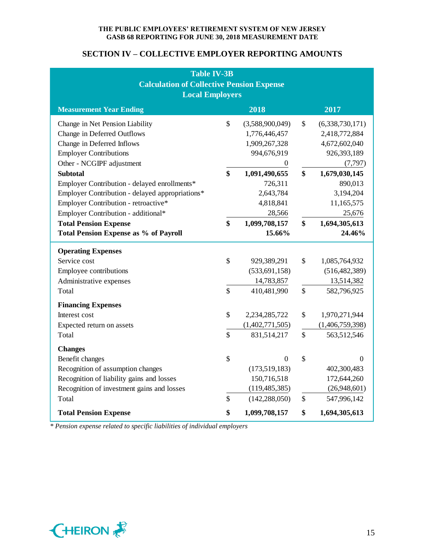## **SECTION IV – COLLECTIVE EMPLOYER REPORTING AMOUNTS**

| Table IV-3B                                      |                   |                  |               |                 |  |  |  |
|--------------------------------------------------|-------------------|------------------|---------------|-----------------|--|--|--|
| <b>Calculation of Collective Pension Expense</b> |                   |                  |               |                 |  |  |  |
| <b>Local Employers</b>                           |                   |                  |               |                 |  |  |  |
| <b>Measurement Year Ending</b>                   |                   | 2018             |               | 2017            |  |  |  |
| Change in Net Pension Liability                  | \$                | (3,588,900,049)  | \$            | (6,338,730,171) |  |  |  |
| Change in Deferred Outflows                      |                   | 1,776,446,457    |               | 2,418,772,884   |  |  |  |
| Change in Deferred Inflows                       |                   | 1,909,267,328    |               | 4,672,602,040   |  |  |  |
| <b>Employer Contributions</b>                    |                   | 994,676,919      |               | 926,393,189     |  |  |  |
| Other - NCGIPF adjustment                        |                   | $\theta$         |               | (7, 797)        |  |  |  |
| <b>Subtotal</b>                                  | $\boldsymbol{\$}$ | 1,091,490,655    | \$            | 1,679,030,145   |  |  |  |
| Employer Contribution - delayed enrollments*     |                   | 726,311          |               | 890,013         |  |  |  |
| Employer Contribution - delayed appropriations*  |                   | 2,643,784        |               | 3,194,204       |  |  |  |
| Employer Contribution - retroactive*             |                   | 4,818,841        |               | 11,165,575      |  |  |  |
| Employer Contribution - additional*              |                   | 28,566           |               | 25,676          |  |  |  |
| <b>Total Pension Expense</b>                     |                   | 1,099,708,157    | \$            | 1,694,305,613   |  |  |  |
| <b>Total Pension Expense as % of Payroll</b>     |                   | 15.66%           |               | 24.46%          |  |  |  |
| <b>Operating Expenses</b>                        |                   |                  |               |                 |  |  |  |
| Service cost                                     | $\mathbb{S}$      | 929,389,291      | \$            | 1,085,764,932   |  |  |  |
| Employee contributions                           |                   | (533, 691, 158)  |               | (516, 482, 389) |  |  |  |
| Administrative expenses                          |                   | 14,783,857       |               | 13,514,382      |  |  |  |
| Total                                            | $\mathsf{\$}$     | 410,481,990      | $\mathcal{S}$ | 582,796,925     |  |  |  |
| <b>Financing Expenses</b>                        |                   |                  |               |                 |  |  |  |
| Interest cost                                    | $\mathbb{S}$      | 2,234,285,722    | \$            | 1,970,271,944   |  |  |  |
| Expected return on assets                        |                   | (1,402,771,505)  |               | (1,406,759,398) |  |  |  |
| Total                                            | \$                | 831,514,217      | $\mathbb{S}$  | 563,512,546     |  |  |  |
| <b>Changes</b>                                   |                   |                  |               |                 |  |  |  |
| Benefit changes                                  | $\$$              | $\boldsymbol{0}$ | \$            | $\mathbf{0}$    |  |  |  |
| Recognition of assumption changes                |                   | (173,519,183)    |               | 402,300,483     |  |  |  |
| Recognition of liability gains and losses        |                   | 150,716,518      |               | 172,644,260     |  |  |  |
| Recognition of investment gains and losses       |                   | (119, 485, 385)  |               | (26,948,601)    |  |  |  |
| Total                                            | $\mathbb{S}$      | (142, 288, 050)  | \$            | 547,996,142     |  |  |  |
| <b>Total Pension Expense</b>                     | \$                | 1,099,708,157    | \$            | 1,694,305,613   |  |  |  |

*\* Pension expense related to specific liabilities of individual employers*

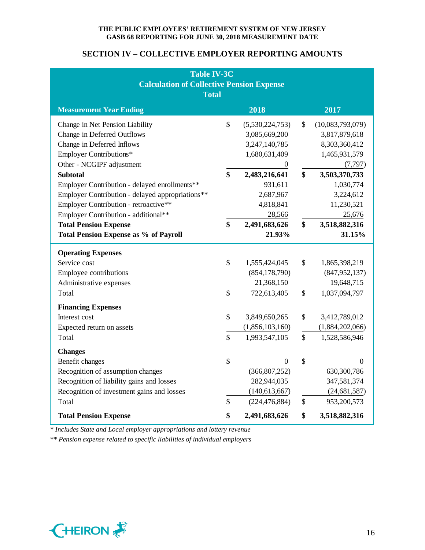## **SECTION IV – COLLECTIVE EMPLOYER REPORTING AMOUNTS**

| <b>Table IV-3C</b>                               |              |                  |               |                  |  |  |  |
|--------------------------------------------------|--------------|------------------|---------------|------------------|--|--|--|
| <b>Calculation of Collective Pension Expense</b> |              |                  |               |                  |  |  |  |
| <b>Total</b>                                     |              |                  |               |                  |  |  |  |
| <b>Measurement Year Ending</b>                   |              | 2018             |               | 2017             |  |  |  |
| Change in Net Pension Liability                  | \$           | (5,530,224,753)  | \$            | (10,083,793,079) |  |  |  |
| Change in Deferred Outflows                      |              | 3,085,669,200    |               | 3,817,879,618    |  |  |  |
| Change in Deferred Inflows                       |              | 3,247,140,785    |               | 8,303,360,412    |  |  |  |
| <b>Employer Contributions*</b>                   |              | 1,680,631,409    |               | 1,465,931,579    |  |  |  |
| Other - NCGIPF adjustment                        |              | $\mathbf{0}$     |               | (7, 797)         |  |  |  |
| <b>Subtotal</b>                                  | \$           | 2,483,216,641    | \$            | 3,503,370,733    |  |  |  |
| Employer Contribution - delayed enrollments**    |              | 931,611          |               | 1,030,774        |  |  |  |
| Employer Contribution - delayed appropriations** |              | 2,687,967        |               | 3,224,612        |  |  |  |
| Employer Contribution - retroactive**            |              | 4,818,841        |               | 11,230,521       |  |  |  |
| Employer Contribution - additional**             |              | 28,566           |               | 25,676           |  |  |  |
| <b>Total Pension Expense</b>                     |              | 2,491,683,626    | \$            | 3,518,882,316    |  |  |  |
| <b>Total Pension Expense as % of Payroll</b>     |              | 21.93%           |               | 31.15%           |  |  |  |
| <b>Operating Expenses</b>                        |              |                  |               |                  |  |  |  |
| Service cost                                     | $\mathbb{S}$ | 1,555,424,045    | \$            | 1,865,398,219    |  |  |  |
| Employee contributions                           |              | (854, 178, 790)  |               | (847, 952, 137)  |  |  |  |
| Administrative expenses                          |              | 21,368,150       |               | 19,648,715       |  |  |  |
| Total                                            | \$           | 722,613,405      | $\mathcal{S}$ | 1,037,094,797    |  |  |  |
| <b>Financing Expenses</b>                        |              |                  |               |                  |  |  |  |
| Interest cost                                    | \$           | 3,849,650,265    | \$            | 3,412,789,012    |  |  |  |
| Expected return on assets                        |              | (1,856,103,160)  |               | (1,884,202,066)  |  |  |  |
| Total                                            | \$           | 1,993,547,105    | \$            | 1,528,586,946    |  |  |  |
| <b>Changes</b>                                   |              |                  |               |                  |  |  |  |
| Benefit changes                                  | \$           | $\boldsymbol{0}$ | \$            | $\Omega$         |  |  |  |
| Recognition of assumption changes                |              | (366, 807, 252)  |               | 630,300,786      |  |  |  |
| Recognition of liability gains and losses        |              | 282,944,035      |               | 347,581,374      |  |  |  |
| Recognition of investment gains and losses       |              | (140,613,667)    |               | (24, 681, 587)   |  |  |  |
| Total                                            | \$           | (224, 476, 884)  | \$            | 953,200,573      |  |  |  |
| <b>Total Pension Expense</b>                     | \$           | 2,491,683,626    | \$            | 3,518,882,316    |  |  |  |

*\* Includes State and Local employer appropriations and lottery revenue*

*\*\* Pension expense related to specific liabilities of individual employers*

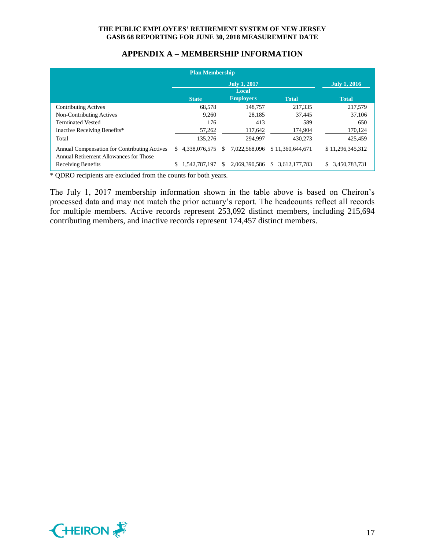| <b>Plan Membership</b>                                                                 |    |               |    |                     |                               |                     |
|----------------------------------------------------------------------------------------|----|---------------|----|---------------------|-------------------------------|---------------------|
|                                                                                        |    |               |    | <b>July 1, 2016</b> |                               |                     |
|                                                                                        |    | <b>State</b>  |    | <b>Employers</b>    | <b>Total</b>                  | <b>Total</b>        |
| <b>Contributing Actives</b>                                                            |    | 68,578        |    | 148,757             | 217,335                       | 217,579             |
| Non-Contributing Actives                                                               |    | 9.260         |    | 28.185              | 37.445                        | 37.106              |
| <b>Terminated Vested</b>                                                               |    | 176           |    | 413                 | 589                           | 650                 |
| Inactive Receiving Benefits*                                                           |    | 57,262        |    | 117,642             | 174,904                       | 170,124             |
| Total                                                                                  |    | 135,276       |    | 294.997             | 430,273                       | 425,459             |
| Annual Compensation for Contributing Actives<br>Annual Retirement Allowances for Those | S. | 4.338.076.575 | S. | 7.022.568.096       | \$11,360,644,671              | \$11,296,345,312    |
| Receiving Benefits                                                                     |    | 1.542.787.197 | S. | 2,069,390,586       | 3,612,177,783<br><sup>S</sup> | 3,450,783,731<br>S. |

## **APPENDIX A – MEMBERSHIP INFORMATION**

\* QDRO recipients are excluded from the counts for both years.

The July 1, 2017 membership information shown in the table above is based on Cheiron's processed data and may not match the prior actuary's report. The headcounts reflect all records for multiple members. Active records represent 253,092 distinct members, including 215,694 contributing members, and inactive records represent 174,457 distinct members.

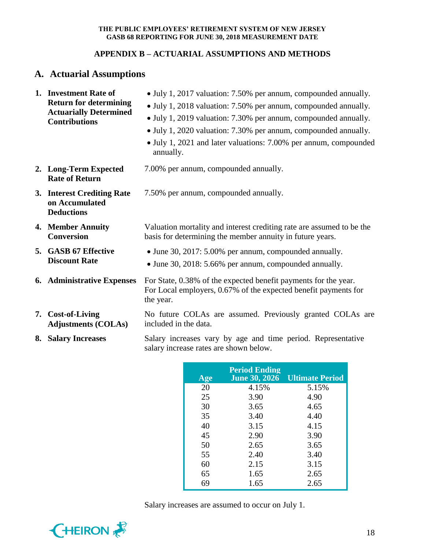## **APPENDIX B – ACTUARIAL ASSUMPTIONS AND METHODS**

# **A. Actuarial Assumptions**

| 1. Investment Rate of<br><b>Return for determining</b><br><b>Actuarially Determined</b><br><b>Contributions</b> | • July 1, 2017 valuation: 7.50% per annum, compounded annually.<br>• July 1, 2018 valuation: 7.50% per annum, compounded annually.<br>• July 1, 2019 valuation: 7.30% per annum, compounded annually.<br>• July 1, 2020 valuation: 7.30% per annum, compounded annually.<br>• July 1, 2021 and later valuations: 7.00% per annum, compounded<br>annually. |
|-----------------------------------------------------------------------------------------------------------------|-----------------------------------------------------------------------------------------------------------------------------------------------------------------------------------------------------------------------------------------------------------------------------------------------------------------------------------------------------------|
| 2. Long-Term Expected<br><b>Rate of Return</b>                                                                  | 7.00% per annum, compounded annually.                                                                                                                                                                                                                                                                                                                     |
| 3. Interest Crediting Rate<br>on Accumulated<br><b>Deductions</b>                                               | 7.50% per annum, compounded annually.                                                                                                                                                                                                                                                                                                                     |
| 4. Member Annuity<br><b>Conversion</b>                                                                          | Valuation mortality and interest crediting rate are assumed to be the<br>basis for determining the member annuity in future years.                                                                                                                                                                                                                        |
| 5. GASB 67 Effective<br><b>Discount Rate</b>                                                                    | • June 30, 2017: 5.00% per annum, compounded annually.<br>• June 30, 2018: 5.66% per annum, compounded annually.                                                                                                                                                                                                                                          |
| 6. Administrative Expenses                                                                                      | For State, 0.38% of the expected benefit payments for the year.<br>For Local employers, 0.67% of the expected benefit payments for<br>the year.                                                                                                                                                                                                           |
| 7. Cost-of-Living<br><b>Adjustments (COLAs)</b>                                                                 | No future COLAs are assumed. Previously granted COLAs are<br>included in the data.                                                                                                                                                                                                                                                                        |
| 8. Salary Increases                                                                                             | Salary increases vary by age and time period. Representative<br>salary increase rates are shown below.                                                                                                                                                                                                                                                    |

| Age | <b>Period Ending</b><br><b>June 30, 2026</b> | <b>Ultimate Period</b> |
|-----|----------------------------------------------|------------------------|
| 20  | 4.15%                                        | 5.15%                  |
| 25  | 3.90                                         | 4.90                   |
| 30  | 3.65                                         | 4.65                   |
| 35  | 3.40                                         | 4.40                   |
| 40  | 3.15                                         | 4.15                   |
| 45  | 2.90                                         | 3.90                   |
| 50  | 2.65                                         | 3.65                   |
| 55  | 2.40                                         | 3.40                   |
| 60  | 2.15                                         | 3.15                   |
| 65  | 1.65                                         | 2.65                   |
| 69  | 1.65                                         | 2.65                   |

Salary increases are assumed to occur on July 1.

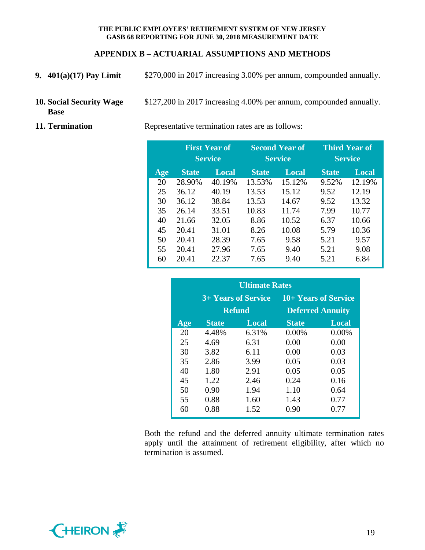## **APPENDIX B – ACTUARIAL ASSUMPTIONS AND METHODS**

- **9. 401(a)(17) Pay Limit** \$270,000 in 2017 increasing 3.00% per annum, compounded annually.
- **10. Social Security Wage Base** \$127,200 in 2017 increasing 4.00% per annum, compounded annually.
- 

**11. Termination** Representative termination rates are as follows:

|     | <b>First Year of</b><br><b>Service</b> |        | <b>Second Year of</b><br><b>Service</b> |        | <b>Third Year of</b><br><b>Service</b> |        |
|-----|----------------------------------------|--------|-----------------------------------------|--------|----------------------------------------|--------|
| Age | <b>State</b>                           | Local  | <b>State</b>                            | Local  | <b>State</b>                           | Local  |
| 20  | 28.90%                                 | 40.19% | 13.53%                                  | 15.12% | 9.52%                                  | 12.19% |
| 25  | 36.12                                  | 40.19  | 13.53                                   | 15.12  | 9.52                                   | 12.19  |
| 30  | 36.12                                  | 38.84  | 13.53                                   | 14.67  | 9.52                                   | 13.32  |
| 35  | 26.14                                  | 33.51  | 10.83                                   | 11.74  | 7.99                                   | 10.77  |
| 40  | 21.66                                  | 32.05  | 8.86                                    | 10.52  | 6.37                                   | 10.66  |
| 45  | 20.41                                  | 31.01  | 8.26                                    | 10.08  | 5.79                                   | 10.36  |
| 50  | 20.41                                  | 28.39  | 7.65                                    | 9.58   | 5.21                                   | 9.57   |
| 55  | 20.41                                  | 27.96  | 7.65                                    | 9.40   | 5.21                                   | 9.08   |
| 60  | 20.41                                  | 22.37  | 7.65                                    | 9.40   | 5.21                                   | 6.84   |

| <b>Ultimate Rates</b> |              |                     |                      |                         |  |  |  |
|-----------------------|--------------|---------------------|----------------------|-------------------------|--|--|--|
|                       |              | 3+ Years of Service | 10+ Years of Service |                         |  |  |  |
|                       |              | <b>Refund</b>       |                      | <b>Deferred Annuity</b> |  |  |  |
| Age                   | <b>State</b> | Local               | <b>State</b>         | <b>Local</b>            |  |  |  |
| 20                    | 4.48%        | 6.31%               | 0.00%                | $0.00\%$                |  |  |  |
| 25                    | 4.69         | 6.31                | 0.00                 | 0.00                    |  |  |  |
| 30                    | 3.82         | 6.11                | 0.00                 | 0.03                    |  |  |  |
| 35                    | 2.86         | 3.99                | 0.05                 | 0.03                    |  |  |  |
| 40                    | 1.80         | 2.91                | 0.05                 | 0.05                    |  |  |  |
| 45                    | 1.22         | 2.46                | 0.24                 | 0.16                    |  |  |  |
| 50                    | 0.90         | 1.94                | 1.10                 | 0.64                    |  |  |  |
| 55                    | 0.88         | 1.60                | 1.43                 | 0.77                    |  |  |  |
| 60                    | 0.88         | 1.52                | 0.90                 | 0.77                    |  |  |  |

Both the refund and the deferred annuity ultimate termination rates apply until the attainment of retirement eligibility, after which no termination is assumed.

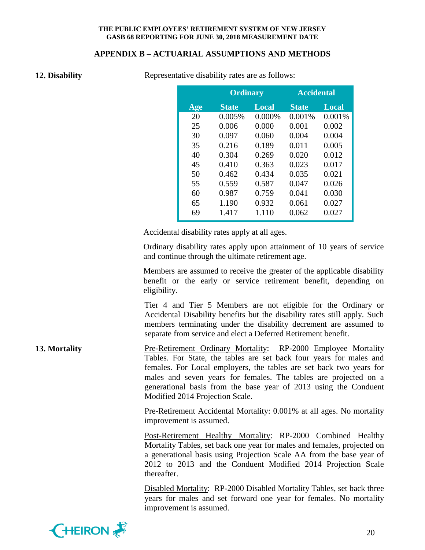#### **APPENDIX B – ACTUARIAL ASSUMPTIONS AND METHODS**

| 12. Disability |
|----------------|
|                |

Representative disability rates are as follows:

|     | <b>Ordinary</b> |              | <b>Accidental</b> |              |
|-----|-----------------|--------------|-------------------|--------------|
| Age | <b>State</b>    | <b>Local</b> | <b>State</b>      | <b>Local</b> |
| 20  | 0.005%          | 0.000%       | 0.001%            | 0.001%       |
| 25  | 0.006           | 0.000        | 0.001             | 0.002        |
| 30  | 0.097           | 0.060        | 0.004             | 0.004        |
| 35  | 0.216           | 0.189        | 0.011             | 0.005        |
| 40  | 0.304           | 0.269        | 0.020             | 0.012        |
| 45  | 0.410           | 0.363        | 0.023             | 0.017        |
| 50  | 0.462           | 0.434        | 0.035             | 0.021        |
| 55  | 0.559           | 0.587        | 0.047             | 0.026        |
| 60  | 0.987           | 0.759        | 0.041             | 0.030        |
| 65  | 1.190           | 0.932        | 0.061             | 0.027        |
| 69  | 1.417           | 1.110        | 0.062             | 0.027        |

Accidental disability rates apply at all ages.

Ordinary disability rates apply upon attainment of 10 years of service and continue through the ultimate retirement age.

Members are assumed to receive the greater of the applicable disability benefit or the early or service retirement benefit, depending on eligibility.

Tier 4 and Tier 5 Members are not eligible for the Ordinary or Accidental Disability benefits but the disability rates still apply. Such members terminating under the disability decrement are assumed to separate from service and elect a Deferred Retirement benefit.

**13. Mortality** Pre-Retirement Ordinary Mortality: RP-2000 Employee Mortality Tables. For State, the tables are set back four years for males and females. For Local employers, the tables are set back two years for males and seven years for females. The tables are projected on a generational basis from the base year of 2013 using the Conduent Modified 2014 Projection Scale.

> Pre-Retirement Accidental Mortality: 0.001% at all ages. No mortality improvement is assumed.

> Post-Retirement Healthy Mortality: RP-2000 Combined Healthy Mortality Tables, set back one year for males and females, projected on a generational basis using Projection Scale AA from the base year of 2012 to 2013 and the Conduent Modified 2014 Projection Scale thereafter.

> Disabled Mortality: RP-2000 Disabled Mortality Tables, set back three years for males and set forward one year for females. No mortality improvement is assumed.

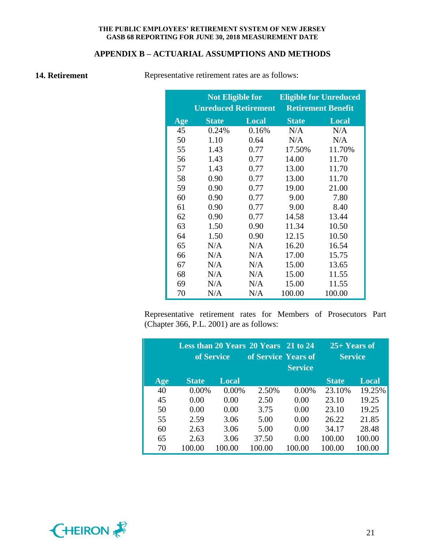## **APPENDIX B – ACTUARIAL ASSUMPTIONS AND METHODS**

**14. Retirement** Representative retirement rates are as follows:

|     | <b>Not Eligible for</b> |                             | <b>Eligible for Unreduced</b> |                           |  |
|-----|-------------------------|-----------------------------|-------------------------------|---------------------------|--|
|     |                         | <b>Unreduced Retirement</b> |                               | <b>Retirement Benefit</b> |  |
| Age | <b>State</b>            | <b>Local</b>                |                               | <b>Local</b>              |  |
| 45  | 0.24%                   | 0.16%                       | N/A                           | N/A                       |  |
| 50  | 1.10                    | 0.64                        | N/A                           | N/A                       |  |
| 55  | 1.43                    | 0.77                        | 17.50%                        | 11.70%                    |  |
| 56  | 1.43                    | 0.77                        | 14.00                         | 11.70                     |  |
| 57  | 1.43                    | 0.77                        | 13.00                         | 11.70                     |  |
| 58  | 0.90                    | 0.77                        | 13.00                         | 11.70                     |  |
| 59  | 0.90                    | 0.77                        | 19.00                         | 21.00                     |  |
| 60  | 0.90                    | 0.77                        | 9.00                          | 7.80                      |  |
| 61  | 0.90                    | 0.77                        | 9.00                          | 8.40                      |  |
| 62  | 0.90                    | 0.77                        | 14.58                         | 13.44                     |  |
| 63  | 1.50                    | 0.90                        | 11.34                         | 10.50                     |  |
| 64  | 1.50                    | 0.90                        | 12.15                         | 10.50                     |  |
| 65  | N/A                     | N/A                         | 16.20                         | 16.54                     |  |
| 66  | N/A                     | N/A                         | 17.00                         | 15.75                     |  |
| 67  | N/A                     | N/A                         | 15.00                         | 13.65                     |  |
| 68  | N/A                     | N/A                         | 15.00                         | 11.55                     |  |
| 69  | N/A                     | N/A                         | 15.00                         | 11.55                     |  |
| 70  | N/A                     | N/A                         | 100.00                        | 100.00                    |  |

Representative retirement rates for Members of Prosecutors Part (Chapter 366, P.L. 2001) are as follows:

|     |              | of Service   | Less than 20 Years 20 Years 21 to 24<br>of Service Years of | <b>Service</b> | $25+$ Years of<br><b>Service</b> |        |
|-----|--------------|--------------|-------------------------------------------------------------|----------------|----------------------------------|--------|
| Age | <b>State</b> | <b>Local</b> |                                                             |                | <b>State</b>                     | Local  |
| 40  | 0.00%        | 0.00%        | 2.50%                                                       | 0.00%          | 23.10%                           | 19.25% |
| 45  | 0.00         | 0.00         | 2.50                                                        | 0.00           | 23.10                            | 19.25  |
| 50  | 0.00         | 0.00         | 3.75                                                        | 0.00           | 23.10                            | 19.25  |
| 55  | 2.59         | 3.06         | 5.00                                                        | 0.00           | 26.22                            | 21.85  |
| 60  | 2.63         | 3.06         | 5.00                                                        | 0.00           | 34.17                            | 28.48  |
| 65  | 2.63         | 3.06         | 37.50                                                       | 0.00           | 100.00                           | 100.00 |
| 70  | 100.00       | 100.00       | 100.00                                                      | 100.00         | 100.00                           | 100.00 |

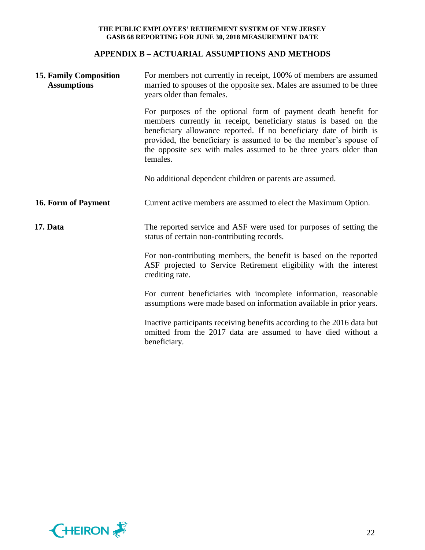## **APPENDIX B – ACTUARIAL ASSUMPTIONS AND METHODS**

| <b>15. Family Composition</b><br><b>Assumptions</b> | For members not currently in receipt, 100% of members are assumed<br>married to spouses of the opposite sex. Males are assumed to be three<br>years older than females.                                                                                                                                                                                       |  |  |  |  |
|-----------------------------------------------------|---------------------------------------------------------------------------------------------------------------------------------------------------------------------------------------------------------------------------------------------------------------------------------------------------------------------------------------------------------------|--|--|--|--|
|                                                     | For purposes of the optional form of payment death benefit for<br>members currently in receipt, beneficiary status is based on the<br>beneficiary allowance reported. If no beneficiary date of birth is<br>provided, the beneficiary is assumed to be the member's spouse of<br>the opposite sex with males assumed to be three years older than<br>females. |  |  |  |  |
|                                                     | No additional dependent children or parents are assumed.                                                                                                                                                                                                                                                                                                      |  |  |  |  |
| 16. Form of Payment                                 | Current active members are assumed to elect the Maximum Option.                                                                                                                                                                                                                                                                                               |  |  |  |  |
| 17. Data                                            | The reported service and ASF were used for purposes of setting the<br>status of certain non-contributing records.                                                                                                                                                                                                                                             |  |  |  |  |
|                                                     | For non-contributing members, the benefit is based on the reported<br>ASF projected to Service Retirement eligibility with the interest<br>crediting rate.                                                                                                                                                                                                    |  |  |  |  |
|                                                     | For current beneficiaries with incomplete information, reasonable<br>assumptions were made based on information available in prior years.                                                                                                                                                                                                                     |  |  |  |  |
|                                                     | Inactive participants receiving benefits according to the 2016 data but<br>omitted from the 2017 data are assumed to have died without a<br>beneficiary.                                                                                                                                                                                                      |  |  |  |  |

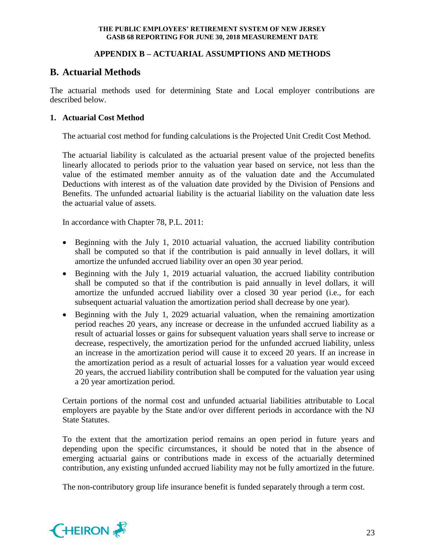## **APPENDIX B – ACTUARIAL ASSUMPTIONS AND METHODS**

# **B. Actuarial Methods**

The actuarial methods used for determining State and Local employer contributions are described below.

## **1. Actuarial Cost Method**

The actuarial cost method for funding calculations is the Projected Unit Credit Cost Method.

The actuarial liability is calculated as the actuarial present value of the projected benefits linearly allocated to periods prior to the valuation year based on service, not less than the value of the estimated member annuity as of the valuation date and the Accumulated Deductions with interest as of the valuation date provided by the Division of Pensions and Benefits. The unfunded actuarial liability is the actuarial liability on the valuation date less the actuarial value of assets.

In accordance with Chapter 78, P.L. 2011:

- Beginning with the July 1, 2010 actuarial valuation, the accrued liability contribution shall be computed so that if the contribution is paid annually in level dollars, it will amortize the unfunded accrued liability over an open 30 year period.
- Beginning with the July 1, 2019 actuarial valuation, the accrued liability contribution shall be computed so that if the contribution is paid annually in level dollars, it will amortize the unfunded accrued liability over a closed 30 year period (i.e., for each subsequent actuarial valuation the amortization period shall decrease by one year).
- Beginning with the July 1, 2029 actuarial valuation, when the remaining amortization period reaches 20 years, any increase or decrease in the unfunded accrued liability as a result of actuarial losses or gains for subsequent valuation years shall serve to increase or decrease, respectively, the amortization period for the unfunded accrued liability, unless an increase in the amortization period will cause it to exceed 20 years. If an increase in the amortization period as a result of actuarial losses for a valuation year would exceed 20 years, the accrued liability contribution shall be computed for the valuation year using a 20 year amortization period.

Certain portions of the normal cost and unfunded actuarial liabilities attributable to Local employers are payable by the State and/or over different periods in accordance with the NJ State Statutes.

To the extent that the amortization period remains an open period in future years and depending upon the specific circumstances, it should be noted that in the absence of emerging actuarial gains or contributions made in excess of the actuarially determined contribution, any existing unfunded accrued liability may not be fully amortized in the future.

The non-contributory group life insurance benefit is funded separately through a term cost.

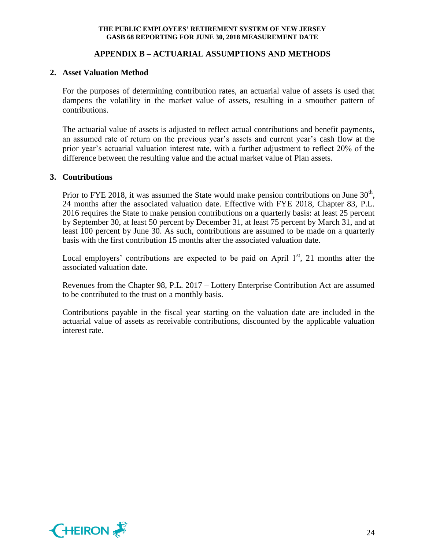## **APPENDIX B – ACTUARIAL ASSUMPTIONS AND METHODS**

#### **2. Asset Valuation Method**

For the purposes of determining contribution rates, an actuarial value of assets is used that dampens the volatility in the market value of assets, resulting in a smoother pattern of contributions.

The actuarial value of assets is adjusted to reflect actual contributions and benefit payments, an assumed rate of return on the previous year's assets and current year's cash flow at the prior year's actuarial valuation interest rate, with a further adjustment to reflect 20% of the difference between the resulting value and the actual market value of Plan assets.

#### **3. Contributions**

Prior to FYE 2018, it was assumed the State would make pension contributions on June  $30<sup>th</sup>$ , 24 months after the associated valuation date. Effective with FYE 2018, Chapter 83, P.L. 2016 requires the State to make pension contributions on a quarterly basis: at least 25 percent by September 30, at least 50 percent by December 31, at least 75 percent by March 31, and at least 100 percent by June 30. As such, contributions are assumed to be made on a quarterly basis with the first contribution 15 months after the associated valuation date.

Local employers' contributions are expected to be paid on April  $1<sup>st</sup>$ , 21 months after the associated valuation date.

Revenues from the Chapter 98, P.L. 2017 – Lottery Enterprise Contribution Act are assumed to be contributed to the trust on a monthly basis.

Contributions payable in the fiscal year starting on the valuation date are included in the actuarial value of assets as receivable contributions, discounted by the applicable valuation interest rate.

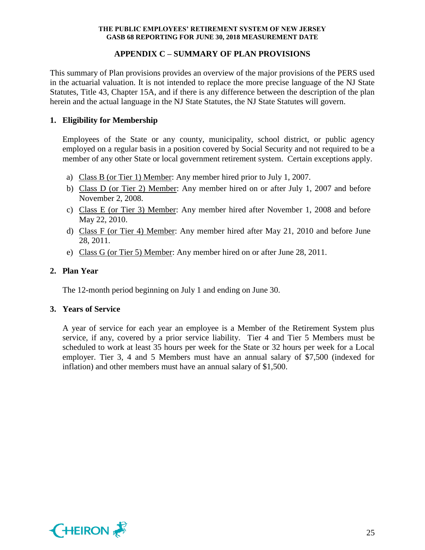## **APPENDIX C – SUMMARY OF PLAN PROVISIONS**

This summary of Plan provisions provides an overview of the major provisions of the PERS used in the actuarial valuation. It is not intended to replace the more precise language of the NJ State Statutes, Title 43, Chapter 15A, and if there is any difference between the description of the plan herein and the actual language in the NJ State Statutes, the NJ State Statutes will govern.

## **1. Eligibility for Membership**

Employees of the State or any county, municipality, school district, or public agency employed on a regular basis in a position covered by Social Security and not required to be a member of any other State or local government retirement system. Certain exceptions apply.

- a) Class B (or Tier 1) Member: Any member hired prior to July 1, 2007.
- b) Class D (or Tier 2) Member: Any member hired on or after July 1, 2007 and before November 2, 2008.
- c) Class E (or Tier 3) Member: Any member hired after November 1, 2008 and before May 22, 2010.
- d) Class F (or Tier 4) Member: Any member hired after May 21, 2010 and before June 28, 2011.
- e) Class G (or Tier 5) Member: Any member hired on or after June 28, 2011.

## **2. Plan Year**

The 12-month period beginning on July 1 and ending on June 30.

## **3. Years of Service**

A year of service for each year an employee is a Member of the Retirement System plus service, if any, covered by a prior service liability. Tier 4 and Tier 5 Members must be scheduled to work at least 35 hours per week for the State or 32 hours per week for a Local employer. Tier 3, 4 and 5 Members must have an annual salary of \$7,500 (indexed for inflation) and other members must have an annual salary of \$1,500.

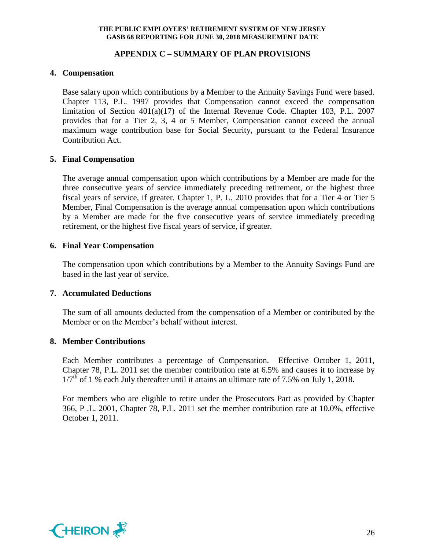## **APPENDIX C – SUMMARY OF PLAN PROVISIONS**

## **4. Compensation**

Base salary upon which contributions by a Member to the Annuity Savings Fund were based. Chapter 113, P.L. 1997 provides that Compensation cannot exceed the compensation limitation of Section 401(a)(17) of the Internal Revenue Code. Chapter 103, P.L. 2007 provides that for a Tier 2, 3, 4 or 5 Member, Compensation cannot exceed the annual maximum wage contribution base for Social Security, pursuant to the Federal Insurance Contribution Act.

## **5. Final Compensation**

The average annual compensation upon which contributions by a Member are made for the three consecutive years of service immediately preceding retirement, or the highest three fiscal years of service, if greater. Chapter 1, P. L. 2010 provides that for a Tier 4 or Tier 5 Member, Final Compensation is the average annual compensation upon which contributions by a Member are made for the five consecutive years of service immediately preceding retirement, or the highest five fiscal years of service, if greater.

## **6. Final Year Compensation**

The compensation upon which contributions by a Member to the Annuity Savings Fund are based in the last year of service.

## **7. Accumulated Deductions**

The sum of all amounts deducted from the compensation of a Member or contributed by the Member or on the Member's behalf without interest.

## **8. Member Contributions**

Each Member contributes a percentage of Compensation. Effective October 1, 2011, Chapter 78, P.L. 2011 set the member contribution rate at 6.5% and causes it to increase by  $1/7<sup>th</sup>$  of 1 % each July thereafter until it attains an ultimate rate of 7.5% on July 1, 2018.

For members who are eligible to retire under the Prosecutors Part as provided by Chapter 366, P .L. 2001, Chapter 78, P.L. 2011 set the member contribution rate at 10.0%, effective October 1, 2011.

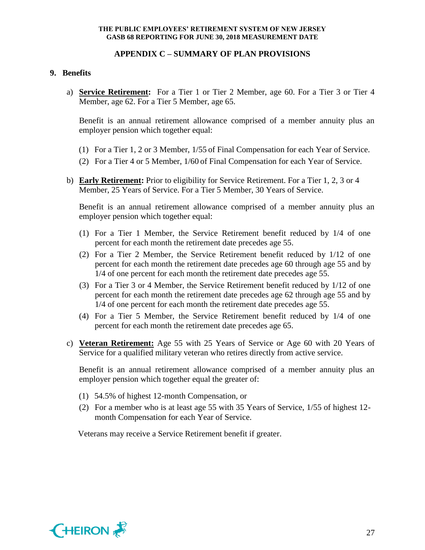#### **APPENDIX C – SUMMARY OF PLAN PROVISIONS**

#### **9. Benefits**

a) **Service Retirement:** For a Tier 1 or Tier 2 Member, age 60. For a Tier 3 or Tier 4 Member, age 62. For a Tier 5 Member, age 65.

Benefit is an annual retirement allowance comprised of a member annuity plus an employer pension which together equal:

- (1) For a Tier 1, 2 or 3 Member, 1/55 of Final Compensation for each Year of Service.
- (2) For a Tier 4 or 5 Member, 1/60 of Final Compensation for each Year of Service.
- b) **Early Retirement:** Prior to eligibility for Service Retirement. For a Tier 1, 2, 3 or 4 Member, 25 Years of Service. For a Tier 5 Member, 30 Years of Service.

Benefit is an annual retirement allowance comprised of a member annuity plus an employer pension which together equal:

- (1) For a Tier 1 Member, the Service Retirement benefit reduced by 1/4 of one percent for each month the retirement date precedes age 55.
- (2) For a Tier 2 Member, the Service Retirement benefit reduced by 1/12 of one percent for each month the retirement date precedes age 60 through age 55 and by 1/4 of one percent for each month the retirement date precedes age 55.
- (3) For a Tier 3 or 4 Member, the Service Retirement benefit reduced by 1/12 of one percent for each month the retirement date precedes age 62 through age 55 and by 1/4 of one percent for each month the retirement date precedes age 55.
- (4) For a Tier 5 Member, the Service Retirement benefit reduced by 1/4 of one percent for each month the retirement date precedes age 65.
- c) **Veteran Retirement:** Age 55 with 25 Years of Service or Age 60 with 20 Years of Service for a qualified military veteran who retires directly from active service.

Benefit is an annual retirement allowance comprised of a member annuity plus an employer pension which together equal the greater of:

- (1) 54.5% of highest 12-month Compensation, or
- (2) For a member who is at least age 55 with 35 Years of Service, 1/55 of highest 12 month Compensation for each Year of Service.

Veterans may receive a Service Retirement benefit if greater.

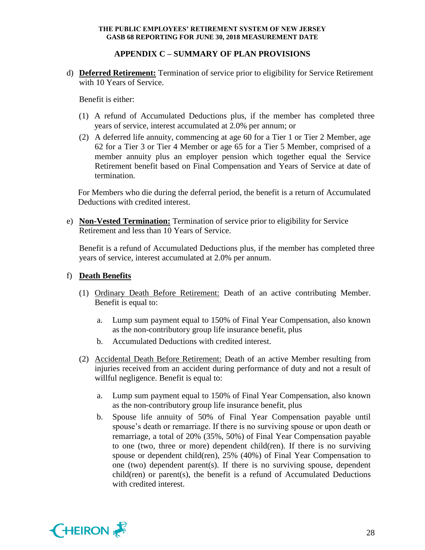## **APPENDIX C – SUMMARY OF PLAN PROVISIONS**

d) **Deferred Retirement:** Termination of service prior to eligibility for Service Retirement with 10 Years of Service.

Benefit is either:

- (1) A refund of Accumulated Deductions plus, if the member has completed three years of service, interest accumulated at 2.0% per annum; or
- (2) A deferred life annuity, commencing at age 60 for a Tier 1 or Tier 2 Member, age 62 for a Tier 3 or Tier 4 Member or age 65 for a Tier 5 Member, comprised of a member annuity plus an employer pension which together equal the Service Retirement benefit based on Final Compensation and Years of Service at date of termination.

For Members who die during the deferral period, the benefit is a return of Accumulated Deductions with credited interest.

e) **Non-Vested Termination:** Termination of service prior to eligibility for Service Retirement and less than 10 Years of Service.

Benefit is a refund of Accumulated Deductions plus, if the member has completed three years of service, interest accumulated at 2.0% per annum.

## f) **Death Benefits**

- (1) Ordinary Death Before Retirement: Death of an active contributing Member. Benefit is equal to:
	- a. Lump sum payment equal to 150% of Final Year Compensation, also known as the non-contributory group life insurance benefit, plus
	- b. Accumulated Deductions with credited interest.
- (2) Accidental Death Before Retirement: Death of an active Member resulting from injuries received from an accident during performance of duty and not a result of willful negligence. Benefit is equal to:
	- a. Lump sum payment equal to 150% of Final Year Compensation, also known as the non-contributory group life insurance benefit, plus
	- b. Spouse life annuity of 50% of Final Year Compensation payable until spouse's death or remarriage. If there is no surviving spouse or upon death or remarriage, a total of 20% (35%, 50%) of Final Year Compensation payable to one (two, three or more) dependent child(ren). If there is no surviving spouse or dependent child(ren), 25% (40%) of Final Year Compensation to one (two) dependent parent(s). If there is no surviving spouse, dependent child(ren) or parent(s), the benefit is a refund of Accumulated Deductions with credited interest.

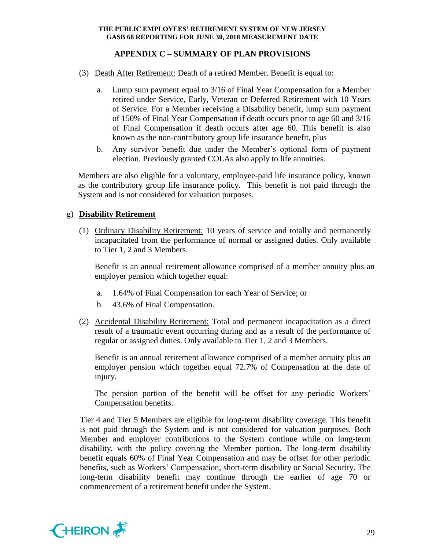## **APPENDIX C – SUMMARY OF PLAN PROVISIONS**

- (3) Death After Retirement: Death of a retired Member. Benefit is equal to:
	- a. Lump sum payment equal to 3/16 of Final Year Compensation for a Member retired under Service, Early, Veteran or Deferred Retirement with 10 Years of Service. For a Member receiving a Disability benefit, lump sum payment of 150% of Final Year Compensation if death occurs prior to age 60 and 3/16 of Final Compensation if death occurs after age 60. This benefit is also known as the non-contributory group life insurance benefit, plus
	- b. Any survivor benefit due under the Member's optional form of payment election. Previously granted COLAs also apply to life annuities.

Members are also eligible for a voluntary, employee-paid life insurance policy, known as the contributory group life insurance policy. This benefit is not paid through the System and is not considered for valuation purposes.

## g) **Disability Retirement**

(1) Ordinary Disability Retirement: 10 years of service and totally and permanently incapacitated from the performance of normal or assigned duties. Only available to Tier 1, 2 and 3 Members.

Benefit is an annual retirement allowance comprised of a member annuity plus an employer pension which together equal:

- a. 1.64% of Final Compensation for each Year of Service; or
- b. 43.6% of Final Compensation.
- (2) Accidental Disability Retirement: Total and permanent incapacitation as a direct result of a traumatic event occurring during and as a result of the performance of regular or assigned duties. Only available to Tier 1, 2 and 3 Members.

Benefit is an annual retirement allowance comprised of a member annuity plus an employer pension which together equal 72.7% of Compensation at the date of injury.

The pension portion of the benefit will be offset for any periodic Workers' Compensation benefits.

Tier 4 and Tier 5 Members are eligible for long-term disability coverage. This benefit is not paid through the System and is not considered for valuation purposes. Both Member and employer contributions to the System continue while on long-term disability, with the policy covering the Member portion. The long-term disability benefit equals 60% of Final Year Compensation and may be offset for other periodic benefits, such as Workers' Compensation, short-term disability or Social Security. The long-term disability benefit may continue through the earlier of age 70 or commencement of a retirement benefit under the System.

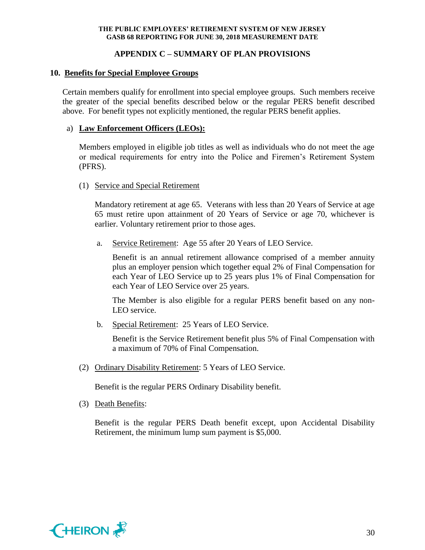## **APPENDIX C – SUMMARY OF PLAN PROVISIONS**

## **10. Benefits for Special Employee Groups**

Certain members qualify for enrollment into special employee groups. Such members receive the greater of the special benefits described below or the regular PERS benefit described above. For benefit types not explicitly mentioned, the regular PERS benefit applies.

## a) **Law Enforcement Officers (LEOs):**

Members employed in eligible job titles as well as individuals who do not meet the age or medical requirements for entry into the Police and Firemen's Retirement System (PFRS).

## (1) Service and Special Retirement

Mandatory retirement at age 65. Veterans with less than 20 Years of Service at age 65 must retire upon attainment of 20 Years of Service or age 70, whichever is earlier. Voluntary retirement prior to those ages.

a. Service Retirement: Age 55 after 20 Years of LEO Service.

Benefit is an annual retirement allowance comprised of a member annuity plus an employer pension which together equal 2% of Final Compensation for each Year of LEO Service up to 25 years plus 1% of Final Compensation for each Year of LEO Service over 25 years.

The Member is also eligible for a regular PERS benefit based on any non-LEO service.

b. Special Retirement: 25 Years of LEO Service.

Benefit is the Service Retirement benefit plus 5% of Final Compensation with a maximum of 70% of Final Compensation.

(2) Ordinary Disability Retirement: 5 Years of LEO Service.

Benefit is the regular PERS Ordinary Disability benefit.

(3) Death Benefits:

Benefit is the regular PERS Death benefit except, upon Accidental Disability Retirement, the minimum lump sum payment is \$5,000.

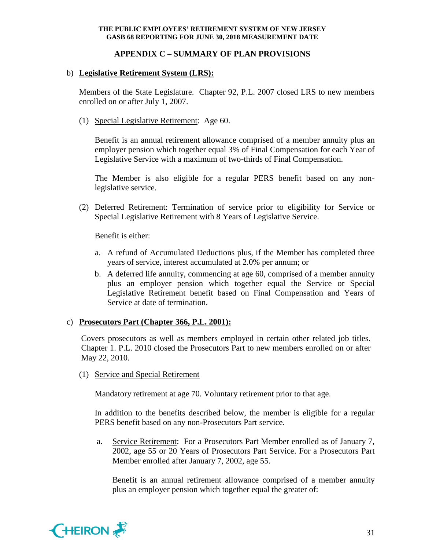## **APPENDIX C – SUMMARY OF PLAN PROVISIONS**

## b) **Legislative Retirement System (LRS):**

Members of the State Legislature. Chapter 92, P.L. 2007 closed LRS to new members enrolled on or after July 1, 2007.

(1) Special Legislative Retirement: Age 60.

Benefit is an annual retirement allowance comprised of a member annuity plus an employer pension which together equal 3% of Final Compensation for each Year of Legislative Service with a maximum of two-thirds of Final Compensation.

The Member is also eligible for a regular PERS benefit based on any nonlegislative service.

(2) Deferred Retirement: Termination of service prior to eligibility for Service or Special Legislative Retirement with 8 Years of Legislative Service.

Benefit is either:

- a. A refund of Accumulated Deductions plus, if the Member has completed three years of service, interest accumulated at 2.0% per annum; or
- b. A deferred life annuity, commencing at age 60, comprised of a member annuity plus an employer pension which together equal the Service or Special Legislative Retirement benefit based on Final Compensation and Years of Service at date of termination.

## c) **Prosecutors Part (Chapter 366, P.L. 2001):**

Covers prosecutors as well as members employed in certain other related job titles. Chapter 1. P.L. 2010 closed the Prosecutors Part to new members enrolled on or after May 22, 2010.

(1) Service and Special Retirement

Mandatory retirement at age 70. Voluntary retirement prior to that age.

In addition to the benefits described below, the member is eligible for a regular PERS benefit based on any non-Prosecutors Part service.

a. Service Retirement: For a Prosecutors Part Member enrolled as of January 7, 2002, age 55 or 20 Years of Prosecutors Part Service. For a Prosecutors Part Member enrolled after January 7, 2002, age 55.

Benefit is an annual retirement allowance comprised of a member annuity plus an employer pension which together equal the greater of:

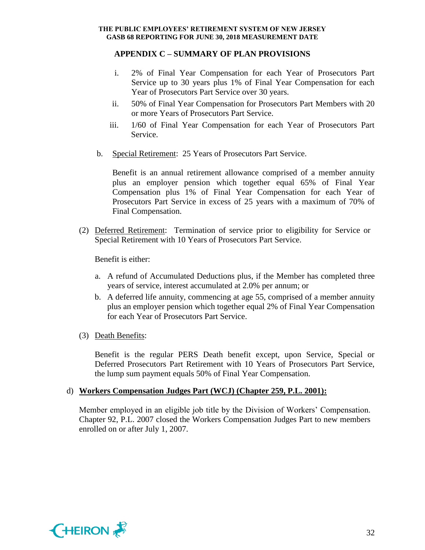## **APPENDIX C – SUMMARY OF PLAN PROVISIONS**

- i. 2% of Final Year Compensation for each Year of Prosecutors Part Service up to 30 years plus 1% of Final Year Compensation for each Year of Prosecutors Part Service over 30 years.
- ii. 50% of Final Year Compensation for Prosecutors Part Members with 20 or more Years of Prosecutors Part Service.
- iii. 1/60 of Final Year Compensation for each Year of Prosecutors Part Service.
- b. Special Retirement: 25 Years of Prosecutors Part Service.

Benefit is an annual retirement allowance comprised of a member annuity plus an employer pension which together equal 65% of Final Year Compensation plus 1% of Final Year Compensation for each Year of Prosecutors Part Service in excess of 25 years with a maximum of 70% of Final Compensation.

(2) Deferred Retirement: Termination of service prior to eligibility for Service or Special Retirement with 10 Years of Prosecutors Part Service.

Benefit is either:

- a. A refund of Accumulated Deductions plus, if the Member has completed three years of service, interest accumulated at 2.0% per annum; or
- b. A deferred life annuity, commencing at age 55, comprised of a member annuity plus an employer pension which together equal 2% of Final Year Compensation for each Year of Prosecutors Part Service.
- (3) Death Benefits:

Benefit is the regular PERS Death benefit except, upon Service, Special or Deferred Prosecutors Part Retirement with 10 Years of Prosecutors Part Service, the lump sum payment equals 50% of Final Year Compensation.

## d) **Workers Compensation Judges Part (WCJ) (Chapter 259, P.L. 2001):**

Member employed in an eligible job title by the Division of Workers' Compensation. Chapter 92, P.L. 2007 closed the Workers Compensation Judges Part to new members enrolled on or after July 1, 2007.

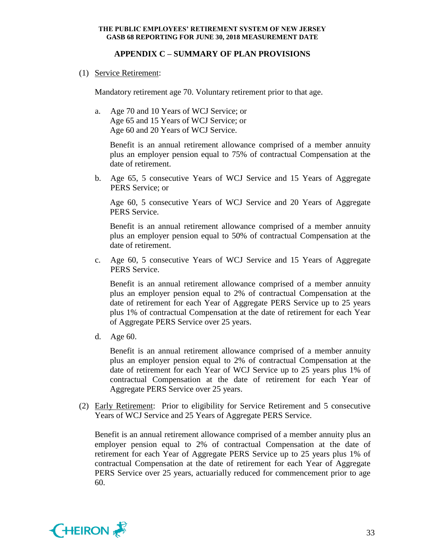## **APPENDIX C – SUMMARY OF PLAN PROVISIONS**

(1) Service Retirement:

Mandatory retirement age 70. Voluntary retirement prior to that age.

a. Age 70 and 10 Years of WCJ Service; or Age 65 and 15 Years of WCJ Service; or Age 60 and 20 Years of WCJ Service.

Benefit is an annual retirement allowance comprised of a member annuity plus an employer pension equal to 75% of contractual Compensation at the date of retirement.

b. Age 65, 5 consecutive Years of WCJ Service and 15 Years of Aggregate PERS Service; or

Age 60, 5 consecutive Years of WCJ Service and 20 Years of Aggregate PERS Service.

Benefit is an annual retirement allowance comprised of a member annuity plus an employer pension equal to 50% of contractual Compensation at the date of retirement.

c. Age 60, 5 consecutive Years of WCJ Service and 15 Years of Aggregate PERS Service.

Benefit is an annual retirement allowance comprised of a member annuity plus an employer pension equal to 2% of contractual Compensation at the date of retirement for each Year of Aggregate PERS Service up to 25 years plus 1% of contractual Compensation at the date of retirement for each Year of Aggregate PERS Service over 25 years.

d. Age 60.

Benefit is an annual retirement allowance comprised of a member annuity plus an employer pension equal to 2% of contractual Compensation at the date of retirement for each Year of WCJ Service up to 25 years plus 1% of contractual Compensation at the date of retirement for each Year of Aggregate PERS Service over 25 years.

(2) Early Retirement: Prior to eligibility for Service Retirement and 5 consecutive Years of WCJ Service and 25 Years of Aggregate PERS Service.

Benefit is an annual retirement allowance comprised of a member annuity plus an employer pension equal to 2% of contractual Compensation at the date of retirement for each Year of Aggregate PERS Service up to 25 years plus 1% of contractual Compensation at the date of retirement for each Year of Aggregate PERS Service over 25 years, actuarially reduced for commencement prior to age 60.

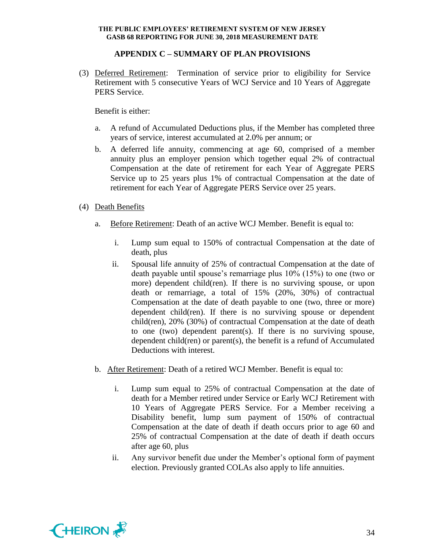## **APPENDIX C – SUMMARY OF PLAN PROVISIONS**

(3) Deferred Retirement: Termination of service prior to eligibility for Service Retirement with 5 consecutive Years of WCJ Service and 10 Years of Aggregate PERS Service.

Benefit is either:

- a. A refund of Accumulated Deductions plus, if the Member has completed three years of service, interest accumulated at 2.0% per annum; or
- b. A deferred life annuity, commencing at age 60, comprised of a member annuity plus an employer pension which together equal 2% of contractual Compensation at the date of retirement for each Year of Aggregate PERS Service up to 25 years plus 1% of contractual Compensation at the date of retirement for each Year of Aggregate PERS Service over 25 years.
- (4) Death Benefits
	- a. Before Retirement: Death of an active WCJ Member. Benefit is equal to:
		- i. Lump sum equal to 150% of contractual Compensation at the date of death, plus
		- ii. Spousal life annuity of 25% of contractual Compensation at the date of death payable until spouse's remarriage plus 10% (15%) to one (two or more) dependent child(ren). If there is no surviving spouse, or upon death or remarriage, a total of 15% (20%, 30%) of contractual Compensation at the date of death payable to one (two, three or more) dependent child(ren). If there is no surviving spouse or dependent child(ren), 20% (30%) of contractual Compensation at the date of death to one (two) dependent parent(s). If there is no surviving spouse, dependent child(ren) or parent(s), the benefit is a refund of Accumulated Deductions with interest.
	- b. After Retirement: Death of a retired WCJ Member. Benefit is equal to:
		- i. Lump sum equal to 25% of contractual Compensation at the date of death for a Member retired under Service or Early WCJ Retirement with 10 Years of Aggregate PERS Service. For a Member receiving a Disability benefit, lump sum payment of 150% of contractual Compensation at the date of death if death occurs prior to age 60 and 25% of contractual Compensation at the date of death if death occurs after age 60, plus
		- ii. Any survivor benefit due under the Member's optional form of payment election. Previously granted COLAs also apply to life annuities.

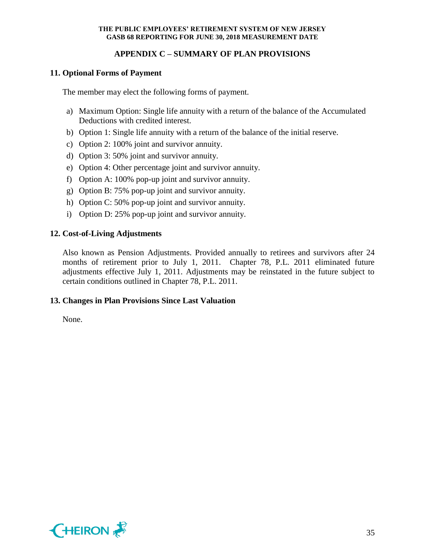## **APPENDIX C – SUMMARY OF PLAN PROVISIONS**

## **11. Optional Forms of Payment**

The member may elect the following forms of payment.

- a) Maximum Option: Single life annuity with a return of the balance of the Accumulated Deductions with credited interest.
- b) Option 1: Single life annuity with a return of the balance of the initial reserve.
- c) Option 2: 100% joint and survivor annuity.
- d) Option 3: 50% joint and survivor annuity.
- e) Option 4: Other percentage joint and survivor annuity.
- f) Option A: 100% pop-up joint and survivor annuity.
- g) Option B: 75% pop-up joint and survivor annuity.
- h) Option C: 50% pop-up joint and survivor annuity.
- i) Option D: 25% pop-up joint and survivor annuity.

## **12. Cost-of-Living Adjustments**

Also known as Pension Adjustments. Provided annually to retirees and survivors after 24 months of retirement prior to July 1, 2011. Chapter 78, P.L. 2011 eliminated future adjustments effective July 1, 2011. Adjustments may be reinstated in the future subject to certain conditions outlined in Chapter 78, P.L. 2011.

## **13. Changes in Plan Provisions Since Last Valuation**

None.

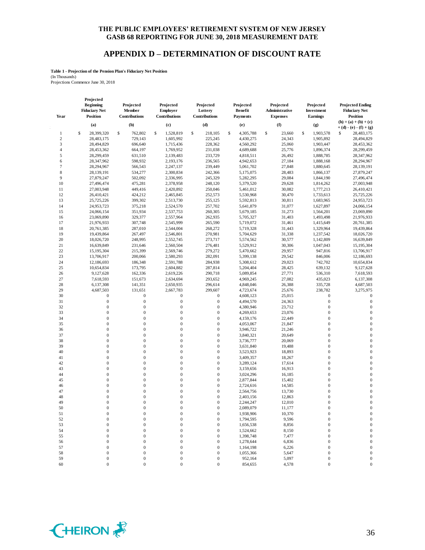#### **APPENDIX D – DETERMINATION OF DISCOUNT RATE**

**Table 1 - Projection of the Pension Plan's Fiduciary Net Position**

(In Thousands) Projections Commence June 30, 2018

**Projected** 

| Year             | <b>Beginning</b><br><b>Fiduciary Net</b><br><b>Position</b> | Projected<br>Member<br>Contributions | Projected<br><b>Employer</b><br>Contributions | Projected<br>Lottery<br>Contributions | Projected<br><b>Benefit</b><br><b>Payments</b> | Projected<br>Administrative<br><b>Expenses</b> | Projected<br>Investment<br><b>Earnings</b> | <b>Projected Ending</b><br><b>Fiduciary Net</b><br><b>Position</b> |
|------------------|-------------------------------------------------------------|--------------------------------------|-----------------------------------------------|---------------------------------------|------------------------------------------------|------------------------------------------------|--------------------------------------------|--------------------------------------------------------------------|
|                  | (a)                                                         | (b)                                  | (c)                                           | (d)                                   | (e)                                            | (f)                                            | (g)                                        | $(h) = (a) + (b) + (c)$<br>$+ (d) - (e) - (f) + (g)$               |
| 1                | \$<br>28,399,320                                            | \$<br>762,802                        | \$<br>1,528,819                               | \$<br>218,105                         | \$<br>4,305,788                                | \$<br>23,660                                   | \$<br>1,903,578                            | 28,483,175<br>\$                                                   |
| $\boldsymbol{2}$ | 28,483,175                                                  | 729,143                              | 1,605,992                                     | 225,245                               | 4,430,275                                      | 24,343                                         | 1,905,892                                  | 28,494,829                                                         |
|                  |                                                             |                                      |                                               |                                       |                                                |                                                |                                            |                                                                    |
| 3                | 28,494,829                                                  | 696,640                              | 1,715,436                                     | 228,362                               | 4,560,292                                      | 25,060                                         | 1,903,447                                  | 28,453,362                                                         |
| $\overline{4}$   | 28,453,362                                                  | 664,197                              | 1,769,952                                     | 231,038                               | 4,689,688                                      | 25,776                                         | 1,896,374                                  | 28,299,459                                                         |
| 5                | 28,299,459                                                  | 631,510                              | 2,139,483                                     | 233,729                               | 4,818,511                                      | 26,492                                         | 1,888,785                                  | 28,347,962                                                         |
| 6                | 28,347,962                                                  | 598,932                              | 2,193,176                                     | 236,565                               | 4,942,653                                      | 27,184                                         | 1,888,168                                  | 28,294,967                                                         |
| 7                | 28,294,967                                                  | 566,543                              | 2,247,137                                     | 239,449                               | 5,061,702                                      | 27,848                                         | 1,880,645                                  | 28,139,191                                                         |
| 8                | 28,139,191                                                  | 534,277                              | 2,300,834                                     | 242,366                               | 5,175,075                                      | 28,483                                         | 1,866,137                                  | 27,879,247                                                         |
| 9                | 27,879,247                                                  | 502,092                              | 2,336,995                                     | 245,329                               | 5,282,295                                      | 29,084                                         | 1,844,190                                  | 27,496,474                                                         |
| 10               | 27,496,474                                                  | 475,281                              | 2,378,958                                     | 248,120                               | 5,379,520                                      | 29,628                                         | 1,814,262                                  | 27,003,948                                                         |
| 11               | 27,003,948                                                  | 449,416                              | 2,420,892                                     | 250,046                               | 5,461,012                                      | 30,082                                         | 1,777,213                                  | 26,410,421                                                         |
| 12               | 26,410,421                                                  | 424,212                              | 2,465,845                                     | 252,573                               | 5,530,968                                      | 30,470                                         | 1,733,613                                  | 25,725,226                                                         |
| 13               | 25,725,226                                                  | 399,302                              | 2,513,730                                     | 255,125                               | 5,592,813                                      | 30,811                                         | 1,683,965                                  | 24,953,723                                                         |
| 14               | 24,953,723                                                  | 375,218                              | 2,524,570                                     | 257,702                               | 5,641,879                                      | 31,077                                         | 1,627,897                                  | 24,066,154                                                         |
| 15               | 24,066,154                                                  | 351,934                              | 2,537,753                                     | 260,305                               | 5,679,185                                      | 31,273                                         | 1,564,201                                  | 23,069,890                                                         |
| 16               | 23,069,890                                                  | 329,377                              | 2,557,964                                     | 262,935                               | 5,705,327                                      | 31,403                                         | 1,493,498                                  | 21,976,933                                                         |
| 17               | 21,976,933                                                  | 307,748                              | 2,545,999                                     | 265,590                               | 5,719,072                                      | 31,461                                         | 1,415,649                                  | 20,761,385                                                         |
| 18               | 20,761,385                                                  | 287,010                              | 2,544,004                                     | 268,272                               | 5,719,328                                      | 31,443                                         | 1,329,964                                  | 19,439,864                                                         |
| 19               | 19,439,864                                                  | 267,497                              | 2,546,801                                     | 270,981                               | 5,704,629                                      | 31,338                                         | 1,237,542                                  | 18,026,720                                                         |
| 20               | 18,026,720                                                  | 248,995                              | 2,552,745                                     | 273,717                               | 5,574,562                                      | 30,577                                         | 1,142,809                                  | 16,639,849                                                         |
| 21               | 16,639,849                                                  | 231,646                              | 2,560,504                                     | 276,481                               | 5,529,912                                      | 30,306                                         | 1,047,043                                  | 15,195,304                                                         |
| 22               | 15,195,304                                                  | 215,399                              | 2,569,746                                     | 279,272                               | 5,470,662                                      | 29,957                                         | 947,816                                    | 13,706,917                                                         |
| 23               | 13,706,917                                                  | 200,066                              | 2,580,293                                     | 282,091                               | 5,399,138                                      | 29,542                                         | 846,006                                    | 12,186,693                                                         |
| 24               | 12,186,693                                                  | 186,348                              | 2,591,788                                     | 284,938                               | 5,308,612                                      | 29,023                                         | 742,702                                    | 10,654,834                                                         |
| 25               | 10,654,834                                                  | 173,795                              | 2,604,882                                     | 287,814                               | 5,204,404                                      | 28,425                                         | 639,132                                    | 9,127,628                                                          |
| 26               | 9,127,628                                                   | 162,336                              | 2,619,226                                     | 290,718                               | 5,089,854                                      | 27,771                                         | 536,310                                    | 7,618,593                                                          |
| 27               | 7,618,593                                                   | 151,673                              | 2,634,694                                     | 293,652                               | 4,969,245                                      | 27,082                                         | 435,023                                    | 6,137,308                                                          |
| 28               | 6,137,308                                                   | 141,351                              | 2,650,935                                     | 296,614                               | 4,848,046                                      | 26,388                                         | 335,728                                    | 4,687,503                                                          |
| 29               | 4,687,503                                                   | 131,651                              | 2,667,783                                     | 299,607                               | 4,723,674                                      | 25,676                                         | 238,782                                    | 3,275,975                                                          |
| 30               | 0                                                           | $\boldsymbol{0}$                     | $\boldsymbol{0}$                              | $\boldsymbol{0}$                      | 4,608,123                                      | 25,015                                         | $\boldsymbol{0}$                           | $\boldsymbol{0}$                                                   |
| 31               | $\boldsymbol{0}$                                            | $\mathbf 0$                          | $\boldsymbol{0}$                              | $\boldsymbol{0}$                      | 4,494,570                                      | 24,363                                         | $\boldsymbol{0}$                           | $\mathbf{0}$                                                       |
| 32               | $\boldsymbol{0}$                                            | $\boldsymbol{0}$                     | $\boldsymbol{0}$                              | $\boldsymbol{0}$                      | 4,380,946                                      | 23,712                                         | $\boldsymbol{0}$                           | $\mathbf{0}$                                                       |
| 33               | $\overline{0}$                                              | $\boldsymbol{0}$                     | $\mathbf{0}$                                  | $\mathbf{0}$                          | 4,269,653                                      | 23,076                                         | $\mathbf{0}$                               | $\mathbf{0}$                                                       |
| 34               | $\overline{0}$                                              | $\overline{0}$                       | $\boldsymbol{0}$                              | $\boldsymbol{0}$                      | 4,159,176                                      | 22,449                                         | $\boldsymbol{0}$                           | $\mathbf{0}$                                                       |
| 35               | $\boldsymbol{0}$                                            | $\overline{0}$                       | $\boldsymbol{0}$                              | $\boldsymbol{0}$                      | 4,053,067                                      | 21,847                                         | $\boldsymbol{0}$                           | $\mathbf{0}$                                                       |
| 36               | $\overline{0}$                                              | $\boldsymbol{0}$                     | $\mathbf{0}$                                  | $\mathbf{0}$                          | 3,946,722                                      | 21,246                                         | $\mathbf{0}$                               | $\mathbf{0}$                                                       |
| 37               | $\overline{0}$                                              | $\overline{0}$                       | $\boldsymbol{0}$                              | $\boldsymbol{0}$                      | 3,840,321                                      | 20,649                                         | $\boldsymbol{0}$                           | $\mathbf{0}$                                                       |
| 38               | $\boldsymbol{0}$                                            | $\boldsymbol{0}$                     | $\boldsymbol{0}$                              | $\boldsymbol{0}$                      | 3,736,777                                      | 20,069                                         | $\boldsymbol{0}$                           | $\boldsymbol{0}$                                                   |
| 39               | $\overline{0}$                                              | $\overline{0}$                       | $\mathbf{0}$                                  | $\boldsymbol{0}$                      | 3,631,840                                      | 19,488                                         | $\boldsymbol{0}$                           | $\mathbf{0}$                                                       |
| 40               | $\bf{0}$                                                    | $\boldsymbol{0}$                     | $\boldsymbol{0}$                              | $\boldsymbol{0}$                      | 3,523,923                                      | 18,893                                         | $\boldsymbol{0}$                           | $\mathbf{0}$                                                       |
| 41               | $\boldsymbol{0}$                                            | $\overline{0}$                       | $\mathbf{0}$                                  | $\mathbf{0}$                          | 3,409,357                                      | 18,267                                         | $\boldsymbol{0}$                           | $\boldsymbol{0}$                                                   |
| 42               | $\overline{0}$                                              | $\boldsymbol{0}$                     | $\mathbf{0}$                                  | $\boldsymbol{0}$                      | 3,289,124                                      | 17,614                                         | $\boldsymbol{0}$                           | $\mathbf{0}$                                                       |
| 43               | $\mathbf{0}$                                                | $\overline{0}$                       | $\mathbf{0}$                                  | $\boldsymbol{0}$                      | 3,159,656                                      | 16,913                                         | $\boldsymbol{0}$                           | $\mathbf{0}$                                                       |
| 44               | $\boldsymbol{0}$                                            | $\overline{0}$                       | $\boldsymbol{0}$                              | $\mathbf{0}$                          | 3,024,296                                      | 16,185                                         | $\boldsymbol{0}$                           | $\mathbf{0}$                                                       |
| 45               | $\mathbf{0}$                                                | $\mathbf{0}$                         | $\mathbf{0}$                                  | $\boldsymbol{0}$                      | 2,877,844                                      | 15,402                                         | $\boldsymbol{0}$                           | $\mathbf{0}$                                                       |
|                  | $\boldsymbol{0}$                                            | $\overline{0}$                       | $\mathbf{0}$                                  | $\mathbf{0}$                          |                                                | 14,585                                         | $\boldsymbol{0}$                           | $\mathbf{0}$                                                       |
| 46<br>47         | $\overline{0}$                                              | $\overline{0}$                       | $\mathbf{0}$                                  | $\boldsymbol{0}$                      | 2,724,616                                      | 13,730                                         | $\boldsymbol{0}$                           | $\mathbf{0}$                                                       |
|                  | $\overline{0}$                                              | $\mathbf{0}$                         | $\mathbf{0}$                                  |                                       | 2,564,756                                      |                                                | $\boldsymbol{0}$                           |                                                                    |
| 48<br>49         | $\overline{0}$                                              | $\mathbf 0$                          | $\mathbf{0}$                                  | $\boldsymbol{0}$<br>$\mathbf{0}$      | 2,403,156<br>2,244,247                         | 12,863                                         | $\boldsymbol{0}$                           | $\boldsymbol{0}$<br>$\boldsymbol{0}$                               |
|                  | $\overline{0}$                                              | $\overline{0}$                       | $\mathbf{0}$                                  |                                       |                                                | 12,010                                         | $\mathbf{0}$                               | $\boldsymbol{0}$                                                   |
| 50               | $\Omega$                                                    | $\theta$                             | $\Omega$                                      | $\boldsymbol{0}$<br>$\mathbf{0}$      | 2,089,079                                      | 11,177                                         | $\Omega$                                   | $\Omega$                                                           |
| 51               |                                                             |                                      |                                               |                                       | 1,938,906                                      | 10,370                                         |                                            |                                                                    |
| 52               | 0                                                           | $\boldsymbol{0}$                     | $\boldsymbol{0}$                              | $\boldsymbol{0}$                      | 1,794,595                                      | 9,596                                          | $\boldsymbol{0}$                           | $\theta$<br>$\mathbf{0}$                                           |
| 53               | 0                                                           | 0                                    | $\boldsymbol{0}$                              | $\boldsymbol{0}$                      | 1,656,538                                      | 8,856                                          | $\boldsymbol{0}$                           |                                                                    |
| 54               | 0                                                           | $\boldsymbol{0}$                     | $\boldsymbol{0}$                              | $\boldsymbol{0}$                      | 1,524,662                                      | 8,150                                          | $\boldsymbol{0}$                           | $\mathbf{0}$                                                       |
| 55               | 0                                                           | 0                                    | $\boldsymbol{0}$                              | $\boldsymbol{0}$                      | 1,398,748                                      | 7,477                                          | $\mathbf{0}$                               | $\mathbf{0}$                                                       |
| 56               | 0                                                           | 0                                    | $\boldsymbol{0}$                              | $\boldsymbol{0}$                      | 1,278,644                                      | 6,836                                          | $\boldsymbol{0}$                           | $\mathbf{0}$                                                       |
| 57               | 0                                                           | 0                                    | $\boldsymbol{0}$                              | $\boldsymbol{0}$                      | 1,164,198                                      | 6,226                                          | $\mathbf{0}$                               | $\mathbf{0}$<br>$\boldsymbol{0}$                                   |
| 58               | 0                                                           | $\boldsymbol{0}$                     | $\boldsymbol{0}$                              | $\boldsymbol{0}$                      | 1,055,366                                      | 5,647                                          | $\boldsymbol{0}$                           |                                                                    |
| 59<br>60         | 0<br>$\mathbf{0}$                                           | $\boldsymbol{0}$<br>$\overline{0}$   | $\boldsymbol{0}$<br>$\mathbf{0}$              | $\boldsymbol{0}$<br>$\boldsymbol{0}$  | 952,164<br>854,655                             | 5,097<br>4,578                                 | $\boldsymbol{0}$<br>$\mathbf{0}$           | $\boldsymbol{0}$<br>$\boldsymbol{0}$                               |
|                  |                                                             |                                      |                                               |                                       |                                                |                                                |                                            |                                                                    |

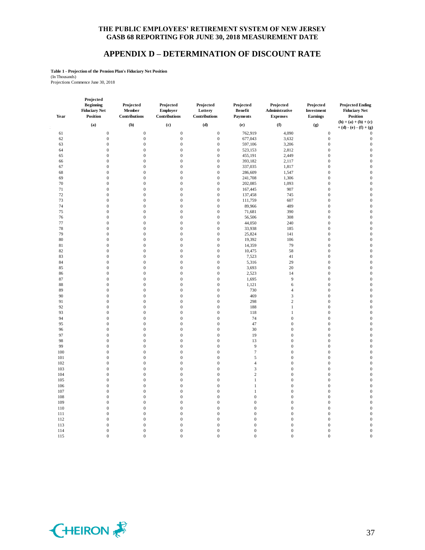#### **APPENDIX D – DETERMINATION OF DISCOUNT RATE**

**Table 1 - Projection of the Pension Plan's Fiduciary Net Position**

(In Thousands) Projections Commence June 30, 2018

| Year     | Projected<br><b>Beginning</b><br><b>Fiduciary Net</b><br><b>Position</b> | Projected<br>Member<br>Contributions | Projected<br>Employer<br>Contributions | Projected<br>Lottery<br>Contributions | Projected<br><b>Benefit</b><br>Payments | Projected<br>Administrative<br><b>Expenses</b> | Projected<br>Investment<br>Earnings | <b>Projected Ending</b><br><b>Fiduciary Net</b><br><b>Position</b> |
|----------|--------------------------------------------------------------------------|--------------------------------------|----------------------------------------|---------------------------------------|-----------------------------------------|------------------------------------------------|-------------------------------------|--------------------------------------------------------------------|
|          | (a)                                                                      | (b)                                  | (c)                                    | (d)                                   | (e)                                     | (f)                                            | (g)                                 | $(h) = (a) + (b) + (c)$<br>$+ (d) - (e) - (f) + (g)$               |
| 61       | $\boldsymbol{0}$                                                         | $\mathbf{0}$                         | $\mathbf{0}$                           | $\boldsymbol{0}$                      | 762,919                                 | 4,090                                          | $\mathbf{0}$                        | $\theta$                                                           |
| 62       | $\boldsymbol{0}$                                                         | $\boldsymbol{0}$                     | $\mathbf{0}$                           | $\boldsymbol{0}$                      | 677,043                                 | 3,632                                          | $\mathbf{0}$                        | $\boldsymbol{0}$                                                   |
| 63       | $\boldsymbol{0}$                                                         | $\boldsymbol{0}$                     | $\mathbf{0}$                           | $\boldsymbol{0}$                      | 597,106                                 | 3,206                                          | $\mathbf{0}$                        | $\boldsymbol{0}$                                                   |
| 64       | $\boldsymbol{0}$                                                         | $\boldsymbol{0}$                     | $\mathbf{0}$                           | $\boldsymbol{0}$                      | 523,153                                 | 2,812                                          | $\boldsymbol{0}$                    | $\mathbf{0}$                                                       |
| 65       | $\boldsymbol{0}$                                                         | $\boldsymbol{0}$                     | $\mathbf{0}$                           | $\boldsymbol{0}$                      | 455,191                                 | 2,449                                          | $\mathbf{0}$                        | $\mathbf{0}$                                                       |
|          | $\boldsymbol{0}$                                                         | $\overline{0}$                       | $\mathbf{0}$                           | $\boldsymbol{0}$                      | 393,182                                 | 2,117                                          | $\boldsymbol{0}$                    | $\mathbf{0}$                                                       |
| 66<br>67 | $\boldsymbol{0}$                                                         | $\boldsymbol{0}$                     | $\boldsymbol{0}$                       | $\boldsymbol{0}$                      | 337,035                                 | 1,817                                          | $\boldsymbol{0}$                    | $\mathbf{0}$                                                       |
| 68       | $\boldsymbol{0}$                                                         | $\boldsymbol{0}$                     | $\boldsymbol{0}$                       | $\boldsymbol{0}$                      | 286,609                                 | 1,547                                          | $\boldsymbol{0}$                    | $\mathbf{0}$                                                       |
| 69       | $\boldsymbol{0}$                                                         | $\boldsymbol{0}$                     | $\boldsymbol{0}$                       | $\boldsymbol{0}$                      | 241,708                                 | 1,306                                          | $\boldsymbol{0}$                    | $\boldsymbol{0}$                                                   |
|          | $\overline{0}$                                                           | $\overline{0}$                       |                                        |                                       |                                         |                                                |                                     |                                                                    |
| 70       |                                                                          |                                      | $\boldsymbol{0}$                       | $\boldsymbol{0}$                      | 202,085                                 | 1,093                                          | $\boldsymbol{0}$                    | $\boldsymbol{0}$                                                   |
| 71       | $\overline{0}$                                                           | $\overline{0}$                       | $\mathbf{0}$                           | $\mathbf{0}$                          | 167,445                                 | 907                                            | $\mathbf{0}$                        | $\mathbf{0}$                                                       |
| 72       | $\overline{0}$                                                           | $\mathbf{0}$                         | $\mathbf{0}$                           | $\mathbf{0}$                          | 137,458                                 | 745                                            | $\mathbf{0}$                        | $\mathbf{0}$                                                       |
| 73       | $\overline{0}$                                                           | $\overline{0}$                       | $\mathbf{0}$                           | $\mathbf{0}$                          | 111,759                                 | 607                                            | $\overline{0}$                      | $\mathbf{0}$                                                       |
| 74       | $\boldsymbol{0}$                                                         | $\boldsymbol{0}$                     | $\mathbf{0}$                           | $\boldsymbol{0}$                      | 89,966                                  | 489                                            | $\boldsymbol{0}$                    | $\mathbf{0}$                                                       |
| 75       | $\boldsymbol{0}$                                                         | $\mathbf 0$                          | $\boldsymbol{0}$                       | $\boldsymbol{0}$                      | 71,681                                  | 390                                            | $\boldsymbol{0}$                    | $\mathbf{0}$                                                       |
| 76       | $\boldsymbol{0}$                                                         | $\boldsymbol{0}$                     | $\mathbf{0}$                           | $\boldsymbol{0}$                      | 56,506                                  | 308                                            | $\boldsymbol{0}$                    | $\boldsymbol{0}$                                                   |
| 77       | $\boldsymbol{0}$                                                         | $\boldsymbol{0}$                     | $\boldsymbol{0}$                       | $\boldsymbol{0}$                      | 44,050                                  | 240                                            | $\boldsymbol{0}$                    | $\mathbf{0}$                                                       |
| 78       | $\boldsymbol{0}$                                                         | $\boldsymbol{0}$                     | $\boldsymbol{0}$                       | $\boldsymbol{0}$                      | 33,938                                  | 185                                            | $\mathbf{0}$                        | $\mathbf{0}$                                                       |
| 79       | $\boldsymbol{0}$                                                         | $\boldsymbol{0}$                     | $\boldsymbol{0}$                       | $\boldsymbol{0}$                      | 25,824                                  | 141                                            | $\boldsymbol{0}$                    | $\mathbf{0}$                                                       |
| 80       | $\boldsymbol{0}$                                                         | $\boldsymbol{0}$                     | $\boldsymbol{0}$                       | $\boldsymbol{0}$                      | 19,392                                  | 106                                            | $\boldsymbol{0}$                    | $\mathbf{0}$                                                       |
| 81       | $\boldsymbol{0}$                                                         | $\boldsymbol{0}$                     | $\boldsymbol{0}$                       | $\boldsymbol{0}$                      | 14,359                                  | 79                                             | $\boldsymbol{0}$                    | $\boldsymbol{0}$                                                   |
| 82       | $\boldsymbol{0}$                                                         | $\boldsymbol{0}$                     | $\boldsymbol{0}$                       | $\boldsymbol{0}$                      | 10,475                                  | 58                                             | $\boldsymbol{0}$                    | $\boldsymbol{0}$                                                   |
| 83       | $\boldsymbol{0}$                                                         | $\boldsymbol{0}$                     | $\mathbf{0}$                           | $\boldsymbol{0}$                      | 7,523                                   | 41                                             | $\mathbf{0}$                        | $\overline{0}$                                                     |
| 84       | $\boldsymbol{0}$                                                         | $\mathbf 0$                          | $\boldsymbol{0}$                       | $\boldsymbol{0}$                      | 5,316                                   | 29                                             | $\boldsymbol{0}$                    | $\mathbf{0}$                                                       |
| 85       | $\boldsymbol{0}$                                                         | $\boldsymbol{0}$                     | $\mathbf{0}$                           | $\boldsymbol{0}$                      | 3,693                                   | 20                                             | $\boldsymbol{0}$                    | $\boldsymbol{0}$                                                   |
| 86       | $\boldsymbol{0}$                                                         | $\boldsymbol{0}$                     | $\boldsymbol{0}$                       | $\boldsymbol{0}$                      | 2,523                                   | 14                                             | $\mathbf{0}$                        | $\overline{0}$                                                     |
| 87       | $\boldsymbol{0}$                                                         | $\boldsymbol{0}$                     | $\boldsymbol{0}$                       | $\boldsymbol{0}$                      | 1,695                                   | 9                                              | $\boldsymbol{0}$                    | $\mathbf{0}$                                                       |
| 88       | $\boldsymbol{0}$                                                         | $\boldsymbol{0}$                     | $\boldsymbol{0}$                       | $\boldsymbol{0}$                      | 1,121                                   | 6                                              | $\boldsymbol{0}$                    | $\mathbf{0}$                                                       |
| 89       | $\boldsymbol{0}$                                                         | $\boldsymbol{0}$                     | $\mathbf{0}$                           | $\boldsymbol{0}$                      | 730                                     | $\overline{4}$                                 | $\mathbf{0}$                        | $\mathbf{0}$                                                       |
| 90       | $\boldsymbol{0}$                                                         | $\boldsymbol{0}$                     | $\mathbf{0}$                           | $\boldsymbol{0}$                      | 469                                     | $\mathfrak{Z}$                                 | $\boldsymbol{0}$                    | $\mathbf{0}$                                                       |
| 91       | $\boldsymbol{0}$                                                         | $\boldsymbol{0}$                     | $\boldsymbol{0}$                       | $\boldsymbol{0}$                      | 298                                     | $\sqrt{2}$                                     | $\boldsymbol{0}$                    | $\mathbf{0}$                                                       |
| 92       | $\overline{0}$                                                           | $\boldsymbol{0}$                     | $\mathbf{0}$                           | $\boldsymbol{0}$                      | 188                                     | $\mathbf{1}$                                   | $\mathbf{0}$                        | $\mathbf{0}$                                                       |
| 93       | $\overline{0}$                                                           | $\boldsymbol{0}$                     | $\mathbf{0}$                           | $\boldsymbol{0}$                      | 118                                     | $\mathbf{1}$                                   | $\boldsymbol{0}$                    | $\boldsymbol{0}$                                                   |
| 94       | $\boldsymbol{0}$                                                         | $\boldsymbol{0}$                     | $\mathbf{0}$                           | $\boldsymbol{0}$                      | 74                                      | $\boldsymbol{0}$                               | $\boldsymbol{0}$                    | $\boldsymbol{0}$                                                   |
| 95       | $\boldsymbol{0}$                                                         | $\boldsymbol{0}$                     | $\boldsymbol{0}$                       | $\boldsymbol{0}$                      | 47                                      | $\boldsymbol{0}$                               | $\boldsymbol{0}$                    | $\overline{0}$                                                     |
| 96       | $\boldsymbol{0}$                                                         | $\boldsymbol{0}$                     | $\boldsymbol{0}$                       | $\boldsymbol{0}$                      | 30                                      | $\boldsymbol{0}$                               | $\boldsymbol{0}$                    | $\mathbf{0}$                                                       |
| 97       | $\boldsymbol{0}$                                                         | $\boldsymbol{0}$                     | $\boldsymbol{0}$                       | $\boldsymbol{0}$                      | 19                                      | $\boldsymbol{0}$                               | $\boldsymbol{0}$                    | $\mathbf{0}$                                                       |
| 98       | $\boldsymbol{0}$                                                         | $\boldsymbol{0}$                     | $\boldsymbol{0}$                       | $\boldsymbol{0}$                      | 13                                      | $\boldsymbol{0}$                               | $\boldsymbol{0}$                    | $\boldsymbol{0}$                                                   |
| 99       | $\boldsymbol{0}$                                                         | $\boldsymbol{0}$                     | $\boldsymbol{0}$                       | $\boldsymbol{0}$                      | $\overline{9}$                          | $\boldsymbol{0}$                               | $\boldsymbol{0}$                    | $\boldsymbol{0}$                                                   |
| 100      | $\boldsymbol{0}$                                                         | $\boldsymbol{0}$                     | $\boldsymbol{0}$                       | $\boldsymbol{0}$                      | $\overline{7}$                          | $\boldsymbol{0}$                               | $\boldsymbol{0}$                    | $\mathbf{0}$                                                       |
| 101      | $\overline{0}$                                                           | $\boldsymbol{0}$                     | $\mathbf{0}$                           | $\boldsymbol{0}$                      | 5                                       | $\boldsymbol{0}$                               | $\boldsymbol{0}$                    | $\mathbf{0}$                                                       |
| 102      | $\overline{0}$                                                           | $\mathbf 0$                          | $\boldsymbol{0}$                       | $\boldsymbol{0}$                      | $\overline{4}$                          | $\boldsymbol{0}$                               | $\boldsymbol{0}$                    | $\mathbf{0}$                                                       |
| 103      | $\mathbf{0}$                                                             | $\boldsymbol{0}$                     | $\mathbf{0}$                           | $\boldsymbol{0}$                      | 3                                       | $\boldsymbol{0}$                               | $\boldsymbol{0}$                    | $\mathbf{0}$                                                       |
|          | $\overline{0}$                                                           |                                      | $\mathbf{0}$                           | $\boldsymbol{0}$                      | $\overline{c}$                          |                                                | $\mathbf{0}$                        | $\mathbf{0}$                                                       |
| 104      |                                                                          | $\boldsymbol{0}$                     |                                        |                                       |                                         | $\boldsymbol{0}$                               |                                     | $\mathbf{0}$                                                       |
| 105      | 0                                                                        | $\boldsymbol{0}$                     | $\mathbf{0}$                           | $\boldsymbol{0}$                      | $\mathbf{1}$                            | $\boldsymbol{0}$                               | $\boldsymbol{0}$                    |                                                                    |
| 106      | $\boldsymbol{0}$                                                         | $\mathbf 0$                          | $\boldsymbol{0}$                       | $\boldsymbol{0}$                      | $\mathbf{1}$                            | $\boldsymbol{0}$                               | $\boldsymbol{0}$                    | $\mathbf{0}$                                                       |
| 107      | $\boldsymbol{0}$                                                         | $\boldsymbol{0}$                     | $\mathbf{0}$                           | $\mathbf 0$                           | $\mathbf{1}$                            | $\boldsymbol{0}$                               | $\boldsymbol{0}$                    | $\mathbf{0}$                                                       |
| 108      | $\boldsymbol{0}$                                                         | $\boldsymbol{0}$                     | $\boldsymbol{0}$                       | $\boldsymbol{0}$                      | $\mathbf{0}$                            | $\boldsymbol{0}$                               | $\mathbf{0}$                        | $\overline{0}$                                                     |
| 109      | $\boldsymbol{0}$                                                         | $\boldsymbol{0}$                     | $\mathbf{0}$                           | $\boldsymbol{0}$                      | $\mathbf 0$                             | $\boldsymbol{0}$                               | $\mathbf{0}$                        | $\overline{0}$                                                     |
| 110      | $\boldsymbol{0}$                                                         | $\boldsymbol{0}$                     | $\boldsymbol{0}$                       | $\boldsymbol{0}$                      | $\boldsymbol{0}$                        | $\boldsymbol{0}$                               | $\boldsymbol{0}$                    | $\mathbf{0}$                                                       |
| 111      | $\boldsymbol{0}$                                                         | $\boldsymbol{0}$                     | $\boldsymbol{0}$                       | $\boldsymbol{0}$                      | $\mathbf{0}$                            | $\boldsymbol{0}$                               | $\boldsymbol{0}$                    | $\boldsymbol{0}$                                                   |
| 112      | $\boldsymbol{0}$                                                         | $\boldsymbol{0}$                     | $\boldsymbol{0}$                       | $\boldsymbol{0}$                      | $\boldsymbol{0}$                        | $\boldsymbol{0}$                               | $\boldsymbol{0}$                    | $\boldsymbol{0}$                                                   |
| 113      | $\overline{0}$                                                           | $\boldsymbol{0}$                     | $\boldsymbol{0}$                       | $\boldsymbol{0}$                      | $\mathbf{0}$                            | $\boldsymbol{0}$                               | $\boldsymbol{0}$                    | $\boldsymbol{0}$                                                   |
| 114      | $\overline{0}$                                                           | $\overline{0}$                       | $\mathbf{0}$                           | $\mathbf{0}$                          | $\mathbf{0}$                            | $\mathbf{0}$                                   | $\mathbf{0}$                        | $\overline{0}$                                                     |
| 115      | $\Omega$                                                                 | $\theta$                             | $\Omega$                               | $\theta$                              | $\Omega$                                | $\theta$                                       | $\Omega$                            | $\overline{0}$                                                     |

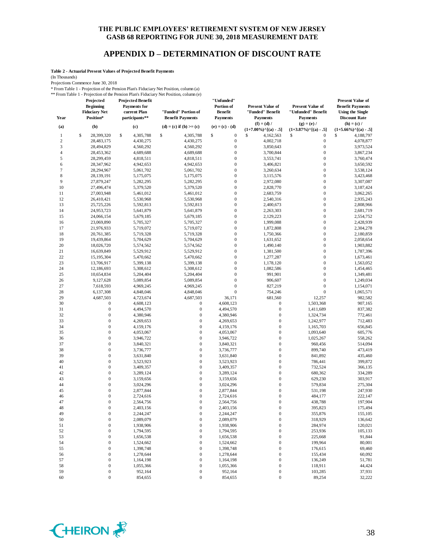#### **APPENDIX D – DETERMINATION OF DISCOUNT RATE**

**Table 2 - Actuarial Present Values of Projected Benefit Payments**

(In Thousands)

Projections Commence June 30, 2018

\* From Table 1 - Projection of the Pension Plan's Fiduciary Net Position, column (a) \*\* From Table 1 - Projection of the Pension Plan's Fiduciary Net Position, column (e)

| Year             | Projected<br><b>Beginning</b><br><b>Fiduciary Net</b><br>Position* | <b>Projected Benefit</b><br><b>Payments</b> for<br>current Plan<br>participants** | "Funded" Portion of<br><b>Benefit Payments</b> | "Unfunded"<br>Portion of<br><b>Benefit</b><br><b>Payments</b> | <b>Present Value of</b><br>"Funded" Benefit<br><b>Payments</b> | <b>Present Value of</b><br>"Unfunded" Benefit<br><b>Payments</b> | <b>Present Value of</b><br><b>Benefit Payments</b><br><b>Using the Single</b><br><b>Discount Rate</b> |
|------------------|--------------------------------------------------------------------|-----------------------------------------------------------------------------------|------------------------------------------------|---------------------------------------------------------------|----------------------------------------------------------------|------------------------------------------------------------------|-------------------------------------------------------------------------------------------------------|
| (a)              | (b)                                                                | (c)                                                                               | (d) = (c) if (b) >= (c)                        | $(e) = (c) - (d)$                                             | $(f) = (d) /$<br>$(1+7.00\%)$ <sup>^</sup> [(a) - .5]          | $(g) = (e) /$<br>$(1+3.87\%)$ <sup>^</sup> [(a) - .5]            | $(h) = (c) /$<br>$(1+5.66\%)$ <sup>^</sup> [(a) - .5]                                                 |
| $\mathbf{1}$     | \$<br>28,399,320                                                   | \$<br>4,305,788                                                                   | \$<br>4,305,788                                | \$<br>$\boldsymbol{0}$                                        | \$<br>4,162,563                                                | \$<br>$\boldsymbol{0}$                                           | \$<br>4,188,797                                                                                       |
| $\sqrt{2}$       | 28,483,175                                                         | 4,430,275                                                                         | 4,430,275                                      | $\boldsymbol{0}$                                              | 4,002,718                                                      | $\boldsymbol{0}$                                                 | 4,078,877                                                                                             |
| $\mathbf{3}$     | 28,494,829                                                         | 4,560,292                                                                         | 4,560,292                                      | $\boldsymbol{0}$                                              | 3,850,643                                                      | $\boldsymbol{0}$                                                 | 3,973,524                                                                                             |
| $\overline{4}$   | 28,453,362                                                         | 4,689,688                                                                         | 4,689,688                                      | $\boldsymbol{0}$                                              | 3,700,844                                                      | $\boldsymbol{0}$                                                 | 3,867,234                                                                                             |
| 5                | 28,299,459                                                         | 4,818,511                                                                         | 4,818,511                                      | $\boldsymbol{0}$                                              | 3,553,741                                                      | $\boldsymbol{0}$                                                 | 3,760,474                                                                                             |
| 6                | 28,347,962                                                         | 4,942,653                                                                         | 4,942,653                                      | $\mathbf{0}$                                                  | 3,406,821                                                      | $\boldsymbol{0}$                                                 | 3,650,592                                                                                             |
| $\boldsymbol{7}$ | 28,294,967                                                         | 5,061,702                                                                         | 5,061,702                                      | $\boldsymbol{0}$                                              | 3,260,634                                                      | $\boldsymbol{0}$                                                 | 3,538,124                                                                                             |
| 8                | 28,139,191                                                         | 5,175,075                                                                         | 5,175,075                                      | $\boldsymbol{0}$                                              | 3,115,576                                                      | $\boldsymbol{0}$                                                 | 3,423,468                                                                                             |
| 9                | 27,879,247                                                         | 5,282,295                                                                         | 5,282,295                                      | $\boldsymbol{0}$                                              | 2,972,080                                                      | $\boldsymbol{0}$                                                 | 3,307,087                                                                                             |
| $10$             | 27,496,474                                                         | 5,379,520                                                                         | 5,379,520                                      | $\mathbf{0}$                                                  | 2,828,770                                                      | $\boldsymbol{0}$                                                 | 3,187,424                                                                                             |
| 11               | 27,003,948                                                         | 5,461,012                                                                         | 5,461,012                                      | $\mathbf{0}$                                                  | 2,683,759                                                      | $\boldsymbol{0}$                                                 | 3,062,265                                                                                             |
| 12               | 26,410,421                                                         | 5,530,968                                                                         | 5,530,968                                      | $\boldsymbol{0}$                                              | 2,540,316                                                      | $\boldsymbol{0}$                                                 | 2,935,243                                                                                             |
| 13               |                                                                    |                                                                                   | 5,592,813                                      | $\boldsymbol{0}$                                              |                                                                | $\boldsymbol{0}$                                                 |                                                                                                       |
| 14               | 25,725,226                                                         | 5,592,813<br>5,641,879                                                            | 5,641,879                                      | $\boldsymbol{0}$                                              | 2,400,673                                                      | $\boldsymbol{0}$                                                 | 2,808,966<br>2,681,719                                                                                |
|                  | 24,953,723                                                         |                                                                                   |                                                | $\mathbf{0}$                                                  | 2,263,303                                                      | $\boldsymbol{0}$                                                 |                                                                                                       |
| 15               | 24,066,154                                                         | 5,679,185                                                                         | 5,679,185                                      |                                                               | 2,129,223                                                      | $\boldsymbol{0}$                                                 | 2,554,752                                                                                             |
| 16               | 23,069,890                                                         | 5,705,327                                                                         | 5,705,327                                      | $\boldsymbol{0}$                                              | 1,999,088                                                      |                                                                  | 2,428,939                                                                                             |
| 17               | 21,976,933                                                         | 5,719,072                                                                         | 5,719,072                                      | $\boldsymbol{0}$                                              | 1,872,808                                                      | $\boldsymbol{0}$                                                 | 2,304,278                                                                                             |
| 18               | 20,761,385                                                         | 5,719,328                                                                         | 5,719,328                                      | $\boldsymbol{0}$                                              | 1,750,366                                                      | $\boldsymbol{0}$                                                 | 2,180,859                                                                                             |
| 19               | 19,439,864                                                         | 5,704,629                                                                         | 5,704,629                                      | $\mathbf{0}$                                                  | 1,631,652                                                      | $\boldsymbol{0}$                                                 | 2,058,654                                                                                             |
| 20               | 18,026,720                                                         | 5,574,562                                                                         | 5,574,562                                      | $\mathbf{0}$                                                  | 1,490,140                                                      | $\boldsymbol{0}$                                                 | 1,903,882                                                                                             |
| 21               | 16,639,849                                                         | 5,529,912                                                                         | 5,529,912                                      | $\boldsymbol{0}$                                              | 1,381,500                                                      | $\boldsymbol{0}$                                                 | 1,787,396                                                                                             |
| 22               | 15,195,304                                                         | 5,470,662                                                                         | 5,470,662                                      | $\boldsymbol{0}$                                              | 1,277,287                                                      | $\boldsymbol{0}$                                                 | 1,673,461                                                                                             |
| 23               | 13,706,917                                                         | 5,399,138                                                                         | 5,399,138                                      | $\boldsymbol{0}$                                              | 1,178,120                                                      | $\boldsymbol{0}$                                                 | 1,563,052                                                                                             |
| 24               | 12,186,693                                                         | 5,308,612                                                                         | 5,308,612                                      | $\mathbf{0}$                                                  | 1,082,586                                                      | $\boldsymbol{0}$                                                 | 1,454,465                                                                                             |
| 25               | 10,654,834                                                         | 5,204,404                                                                         | 5,204,404                                      | $\mathbf{0}$                                                  | 991,901                                                        | $\boldsymbol{0}$                                                 | 1,349,481                                                                                             |
| 26               | 9,127,628                                                          | 5,089,854                                                                         | 5,089,854                                      | $\mathbf{0}$                                                  | 906,607                                                        | $\boldsymbol{0}$                                                 | 1,249,034                                                                                             |
| 27               | 7,618,593                                                          | 4,969,245                                                                         | 4,969,245                                      | $\boldsymbol{0}$                                              | 827,219                                                        | $\boldsymbol{0}$                                                 | 1,154,071                                                                                             |
| 28               | 6,137,308                                                          | 4,848,046                                                                         | 4,848,046                                      | $\mathbf{0}$                                                  | 754,246                                                        | $\boldsymbol{0}$                                                 | 1,065,571                                                                                             |
| 29               | 4,687,503                                                          | 4,723,674                                                                         | 4,687,503                                      | 36,171                                                        | 681,560                                                        | 12,257                                                           | 982,582                                                                                               |
| 30               | $\boldsymbol{0}$                                                   | 4,608,123                                                                         | 0                                              | 4,608,123                                                     | $\boldsymbol{0}$                                               | 1,503,368                                                        | 907,165                                                                                               |
| 31               | $\boldsymbol{0}$                                                   | 4,494,570                                                                         | $\boldsymbol{0}$                               | 4,494,570                                                     | $\boldsymbol{0}$                                               | 1,411,689                                                        | 837,382                                                                                               |
| 32               | $\boldsymbol{0}$                                                   | 4,380,946                                                                         | $\boldsymbol{0}$                               | 4,380,946                                                     | $\boldsymbol{0}$                                               | 1,324,734                                                        | 772,461                                                                                               |
| 33               | $\overline{0}$                                                     | 4,269,653                                                                         | $\mathbf{0}$                                   | 4,269,653                                                     | $\boldsymbol{0}$                                               | 1,242,977                                                        | 712,483                                                                                               |
| 34               | 0                                                                  | 4,159,176                                                                         | $\boldsymbol{0}$                               | 4,159,176                                                     | $\boldsymbol{0}$                                               | 1,165,703                                                        | 656,845                                                                                               |
| 35               | 0                                                                  | 4,053,067                                                                         | $\boldsymbol{0}$                               | 4,053,067                                                     | $\boldsymbol{0}$                                               | 1,093,640                                                        | 605,776                                                                                               |
| 36               | $\overline{0}$                                                     | 3,946,722                                                                         | $\boldsymbol{0}$                               | 3,946,722                                                     | $\boldsymbol{0}$                                               | 1,025,267                                                        | 558,262                                                                                               |
| 37               | 0                                                                  | 3,840,321                                                                         | $\boldsymbol{0}$                               | 3,840,321                                                     | $\boldsymbol{0}$                                               | 960,456                                                          | 514,094                                                                                               |
| 38               | $\overline{0}$                                                     | 3,736,777                                                                         | $\boldsymbol{0}$                               | 3,736,777                                                     | $\boldsymbol{0}$                                               | 899,740                                                          | 473,419                                                                                               |
| 39               | 0                                                                  | 3,631,840                                                                         | $\mathbf{0}$                                   | 3,631,840                                                     | $\boldsymbol{0}$                                               | 841,892                                                          | 435,460                                                                                               |
| 40               | $\overline{0}$                                                     | 3,523,923                                                                         | $\boldsymbol{0}$                               | 3,523,923                                                     | $\boldsymbol{0}$                                               | 786,441                                                          | 399,872                                                                                               |
| 41               | 0                                                                  | 3,409,357                                                                         | $\boldsymbol{0}$                               | 3,409,357                                                     | $\boldsymbol{0}$                                               | 732,524                                                          | 366,135                                                                                               |
| 42               | $\overline{0}$                                                     | 3,289,124                                                                         | $\boldsymbol{0}$                               | 3,289,124                                                     | $\boldsymbol{0}$                                               | 680,362                                                          | 334,289                                                                                               |
| 43               | $\overline{0}$                                                     | 3,159,656                                                                         | $\boldsymbol{0}$                               | 3,159,656                                                     | $\boldsymbol{0}$                                               | 629,230                                                          | 303,917                                                                                               |
| 44               | 0                                                                  | 3,024,296                                                                         | $\boldsymbol{0}$                               | 3,024,296                                                     | $\boldsymbol{0}$                                               | 579,834                                                          | 275,304                                                                                               |
| 45               | 0                                                                  | 2,877,844                                                                         | $\boldsymbol{0}$                               | 2,877,844                                                     | $\boldsymbol{0}$                                               | 531,198                                                          | 247,930                                                                                               |
| 46               | 0                                                                  | 2,724,616                                                                         | $\mathbf{0}$                                   | 2,724,616                                                     | $\boldsymbol{0}$                                               | 484,177                                                          | 222,147                                                                                               |
| 47               | $\overline{0}$                                                     | 2,564,756                                                                         | $\mathbf{0}$                                   | 2,564,756                                                     | $\mathbf{0}$                                                   | 438,788                                                          | 197,904                                                                                               |
| 48               | $\overline{0}$                                                     | 2,403,156                                                                         |                                                | 2,403,156                                                     | 0                                                              |                                                                  |                                                                                                       |
| 49               | $\boldsymbol{0}$                                                   | 2,244,247                                                                         | $\boldsymbol{0}$                               |                                                               | $\boldsymbol{0}$                                               | 395,823                                                          | 175,494<br>155,105                                                                                    |
|                  |                                                                    |                                                                                   |                                                | 2,244,247                                                     |                                                                | 355,876                                                          |                                                                                                       |
| 50               | $\boldsymbol{0}$                                                   | 2,089,079                                                                         | $\boldsymbol{0}$                               | 2,089,079                                                     | $\boldsymbol{0}$                                               | 318,929                                                          | 136,642                                                                                               |
| 51               | $\boldsymbol{0}$                                                   | 1,938,906                                                                         | $\boldsymbol{0}$                               | 1,938,906                                                     | $\boldsymbol{0}$                                               | 284,974                                                          | 120,021                                                                                               |
| 52               | $\boldsymbol{0}$                                                   | 1,794,595                                                                         | $\boldsymbol{0}$                               | 1,794,595                                                     | $\boldsymbol{0}$                                               | 253,936                                                          | 105,133                                                                                               |
| 53               | $\boldsymbol{0}$                                                   | 1,656,538                                                                         | $\boldsymbol{0}$                               | 1,656,538                                                     | $\boldsymbol{0}$                                               | 225,668                                                          | 91,844                                                                                                |
| 54               | $\boldsymbol{0}$                                                   | 1,524,662                                                                         | $\boldsymbol{0}$                               | 1,524,662                                                     | $\boldsymbol{0}$                                               | 199,964                                                          | 80,001                                                                                                |
| 55               | $\boldsymbol{0}$                                                   | 1,398,748                                                                         | $\boldsymbol{0}$                               | 1,398,748                                                     | $\boldsymbol{0}$                                               | 176,615                                                          | 69,460                                                                                                |
| 56               | $\boldsymbol{0}$                                                   | 1,278,644                                                                         | 0                                              | 1,278,644                                                     | $\boldsymbol{0}$                                               | 155,434                                                          | 60,092                                                                                                |
| 57               | $\boldsymbol{0}$                                                   | 1,164,198                                                                         | $\boldsymbol{0}$                               | 1,164,198                                                     | $\boldsymbol{0}$                                               | 136,249                                                          | 51,781                                                                                                |
| 58               | $\boldsymbol{0}$                                                   | 1,055,366                                                                         | $\boldsymbol{0}$                               | 1,055,366                                                     | $\boldsymbol{0}$                                               | 118,911                                                          | 44,424                                                                                                |
| 59               | $\boldsymbol{0}$                                                   | 952,164                                                                           | $\boldsymbol{0}$                               | 952,164                                                       | $\boldsymbol{0}$                                               | 103,285                                                          | 37,931                                                                                                |
| 60               | $\boldsymbol{0}$                                                   | 854,655                                                                           | $\boldsymbol{0}$                               | 854,655                                                       | $\boldsymbol{0}$                                               | 89,254                                                           | 32,222                                                                                                |

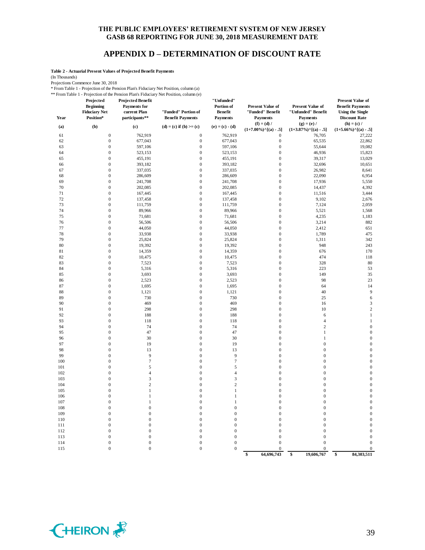#### **APPENDIX D – DETERMINATION OF DISCOUNT RATE**

**Table 2 - Actuarial Present Values of Projected Benefit Payments**

(In Thousands)

Projections Commence June 30, 2018

\* From Table 1 - Projection of the Pension Plan's Fiduciary Net Position, column (a)

\*\* From Table 1 - Projection of the Pension Plan's Fiduciary Net Position, column (e)

| Year     | 1101111001011<br>Trolection of the 1<br>Projected<br><b>Beginning</b><br><b>Fiduciary Net</b><br>Position* | <b>Projected Benefit</b><br><b>Payments</b> for<br>current Plan<br>participants** | 1011 1 Ruis 1 Ruichin y 1 fet 1 031 aoin, containn (c)<br>"Funded" Portion of<br><b>Benefit Payments</b> | "Unfunded"<br>Portion of<br><b>Benefit</b><br><b>Payments</b> | <b>Present Value of</b><br>"Funded" Benefit<br><b>Payments</b> | <b>Present Value of</b><br>"Unfunded" Benefit<br><b>Payments</b> | <b>Present Value of</b><br><b>Benefit Payments</b><br><b>Using the Single</b><br><b>Discount Rate</b> |
|----------|------------------------------------------------------------------------------------------------------------|-----------------------------------------------------------------------------------|----------------------------------------------------------------------------------------------------------|---------------------------------------------------------------|----------------------------------------------------------------|------------------------------------------------------------------|-------------------------------------------------------------------------------------------------------|
| (a)      | (b)                                                                                                        | (c)                                                                               | $(d) = (c)$ if $(b) >= (c)$                                                                              | $(e) = (c) - (d)$                                             | $(f) = (d) /$<br>$(1+7.00\%)$ <sup>^</sup> [(a) - .5]          | $(g) = (e) /$<br>$(1+3.87\%)$ <sup>^</sup> [(a) - .5]            | $(h) = (c) /$<br>$(1+5.66\%)$ <sup>{</sup> [(a) - .5]                                                 |
| 61       | $\boldsymbol{0}$                                                                                           | 762,919                                                                           | $\boldsymbol{0}$                                                                                         | 762,919                                                       | $\boldsymbol{0}$                                               | 76,705                                                           | 27,222                                                                                                |
| 62       | $\boldsymbol{0}$                                                                                           | 677,043                                                                           | $\mathbf{0}$                                                                                             | 677,043                                                       | $\boldsymbol{0}$                                               | 65,535                                                           | 22,862                                                                                                |
| 63       | $\boldsymbol{0}$                                                                                           | 597,106                                                                           | $\mathbf{0}$                                                                                             | 597,106                                                       | $\boldsymbol{0}$                                               | 55,644                                                           | 19,082                                                                                                |
| 64       | $\boldsymbol{0}$                                                                                           | 523,153                                                                           | $\boldsymbol{0}$                                                                                         | 523,153                                                       | $\boldsymbol{0}$                                               | 46,936                                                           | 15,823                                                                                                |
| 65       | $\boldsymbol{0}$                                                                                           | 455,191                                                                           | $\mathbf{0}$                                                                                             | 455,191                                                       | $\boldsymbol{0}$                                               | 39,317                                                           | 13,029                                                                                                |
| 66       | $\boldsymbol{0}$                                                                                           | 393,182                                                                           | $\boldsymbol{0}$                                                                                         | 393,182                                                       | $\boldsymbol{0}$                                               | 32,696                                                           | 10,651                                                                                                |
| 67       | $\mathbf{0}$                                                                                               | 337,035                                                                           | $\mathbf{0}$                                                                                             | 337,035                                                       | $\boldsymbol{0}$                                               | 26,982                                                           | 8,641                                                                                                 |
| 68       | $\boldsymbol{0}$                                                                                           | 286,609                                                                           | $\mathbf{0}$                                                                                             | 286,609                                                       | $\boldsymbol{0}$                                               | 22,090                                                           | 6,954                                                                                                 |
| 69       | $\boldsymbol{0}$                                                                                           | 241,708                                                                           | $\mathbf{0}$                                                                                             | 241,708                                                       | $\mathbf{0}$                                                   | 17,936                                                           | 5,550                                                                                                 |
| 70       | $\boldsymbol{0}$                                                                                           | 202,085                                                                           | $\mathbf{0}$                                                                                             | 202,085                                                       | $\mathbf{0}$                                                   | 14,437                                                           | 4,392                                                                                                 |
| 71       | $\mathbf{0}$                                                                                               | 167,445                                                                           | $\overline{0}$                                                                                           | 167,445                                                       | $\mathbf{0}$                                                   | 11,516                                                           | 3,444                                                                                                 |
| 72       | $\boldsymbol{0}$                                                                                           | 137,458                                                                           | $\boldsymbol{0}$                                                                                         | 137,458                                                       | $\boldsymbol{0}$                                               | 9,102                                                            | 2,676                                                                                                 |
| 73       | $\boldsymbol{0}$                                                                                           | 111,759                                                                           | $\mathbf{0}$                                                                                             | 111,759                                                       | $\boldsymbol{0}$                                               | 7,124                                                            | 2,059                                                                                                 |
| 74       | $\boldsymbol{0}$                                                                                           | 89,966                                                                            | $\boldsymbol{0}$                                                                                         | 89,966                                                        | $\boldsymbol{0}$                                               | 5,521                                                            | 1,568                                                                                                 |
| 75       | $\boldsymbol{0}$                                                                                           | 71,681                                                                            | $\boldsymbol{0}$                                                                                         | 71,681                                                        | $\boldsymbol{0}$                                               | 4,235                                                            | 1,183                                                                                                 |
| 76       | $\mathbf{0}$                                                                                               | 56,506                                                                            | $\mathbf{0}$                                                                                             | 56,506                                                        | $\boldsymbol{0}$                                               | 3,214                                                            | 882                                                                                                   |
| 77<br>78 | $\boldsymbol{0}$<br>$\boldsymbol{0}$                                                                       | 44,050                                                                            | $\mathbf{0}$<br>$\mathbf{0}$                                                                             | 44,050                                                        | $\boldsymbol{0}$<br>$\boldsymbol{0}$                           | 2,412                                                            | 651                                                                                                   |
| 79       | $\boldsymbol{0}$                                                                                           | 33,938<br>25,824                                                                  | $\boldsymbol{0}$                                                                                         | 33,938<br>25,824                                              | $\boldsymbol{0}$                                               | 1,789<br>1,311                                                   | 475<br>342                                                                                            |
| 80       | $\boldsymbol{0}$                                                                                           | 19,392                                                                            | $\mathbf{0}$                                                                                             | 19,392                                                        | $\mathbf{0}$                                                   | 948                                                              | 243                                                                                                   |
| 81       | $\boldsymbol{0}$                                                                                           | 14,359                                                                            | $\boldsymbol{0}$                                                                                         | 14,359                                                        | $\boldsymbol{0}$                                               | 676                                                              | 170                                                                                                   |
| 82       | $\boldsymbol{0}$                                                                                           | 10,475                                                                            | $\mathbf{0}$                                                                                             | 10,475                                                        | $\boldsymbol{0}$                                               | 474                                                              | 118                                                                                                   |
| 83       | $\boldsymbol{0}$                                                                                           | 7,523                                                                             | $\mathbf{0}$                                                                                             | 7,523                                                         | $\mathbf{0}$                                                   | 328                                                              | 80                                                                                                    |
| 84       | $\boldsymbol{0}$                                                                                           | 5,316                                                                             | $\mathbf{0}$                                                                                             | 5,316                                                         | $\mathbf{0}$                                                   | 223                                                              | 53                                                                                                    |
| 85       | $\boldsymbol{0}$                                                                                           | 3,693                                                                             | $\boldsymbol{0}$                                                                                         | 3,693                                                         | $\boldsymbol{0}$                                               | 149                                                              | 35                                                                                                    |
| 86       | $\mathbf{0}$                                                                                               | 2,523                                                                             | $\overline{0}$                                                                                           | 2,523                                                         | $\mathbf{0}$                                                   | 98                                                               | 23                                                                                                    |
| 87       | $\boldsymbol{0}$                                                                                           | 1,695                                                                             | $\boldsymbol{0}$                                                                                         | 1,695                                                         | $\boldsymbol{0}$                                               | 64                                                               | 14                                                                                                    |
| 88       | $\boldsymbol{0}$                                                                                           | 1,121                                                                             | $\mathbf{0}$                                                                                             | 1,121                                                         | $\boldsymbol{0}$                                               | 40                                                               | 9                                                                                                     |
| 89       | $\boldsymbol{0}$                                                                                           | 730                                                                               | $\boldsymbol{0}$                                                                                         | 730                                                           | $\boldsymbol{0}$                                               | 25                                                               | 6                                                                                                     |
| 90       | $\boldsymbol{0}$                                                                                           | 469                                                                               | $\mathbf{0}$                                                                                             | 469                                                           | $\boldsymbol{0}$                                               | 16                                                               | 3                                                                                                     |
| 91       | $\mathbf{0}$                                                                                               | 298                                                                               | $\mathbf{0}$                                                                                             | 298                                                           | $\boldsymbol{0}$                                               | 10                                                               | $\overline{c}$                                                                                        |
| 92       | $\boldsymbol{0}$                                                                                           | 188                                                                               | $\mathbf{0}$                                                                                             | 188                                                           | $\boldsymbol{0}$                                               | 6                                                                | $\mathbf{1}$                                                                                          |
| 93       | $\boldsymbol{0}$                                                                                           | 118                                                                               | $\mathbf{0}$                                                                                             | 118                                                           | $\boldsymbol{0}$                                               | $\overline{4}$                                                   | $\mathbf{1}$                                                                                          |
| 94       | $\boldsymbol{0}$                                                                                           | 74                                                                                | $\boldsymbol{0}$                                                                                         | 74                                                            | $\boldsymbol{0}$                                               | $\sqrt{2}$                                                       | $\boldsymbol{0}$                                                                                      |
| 95<br>96 | $\boldsymbol{0}$<br>$\mathbf{0}$                                                                           | 47<br>30                                                                          | $\mathbf{0}$<br>$\mathbf{0}$                                                                             | 47<br>30                                                      | $\mathbf{0}$<br>$\boldsymbol{0}$                               | $\mathbf{1}$<br>$\mathbf{1}$                                     | $\mathbf{0}$<br>$\boldsymbol{0}$                                                                      |
| 97       | $\boldsymbol{0}$                                                                                           | 19                                                                                | $\mathbf{0}$                                                                                             | 19                                                            | $\boldsymbol{0}$                                               | $\bf{0}$                                                         | $\mathbf{0}$                                                                                          |
| 98       | $\boldsymbol{0}$                                                                                           | 13                                                                                | $\mathbf{0}$                                                                                             | 13                                                            | $\mathbf{0}$                                                   | $\mathbf{0}$                                                     | $\mathbf 0$                                                                                           |
| 99       | $\boldsymbol{0}$                                                                                           | $\overline{9}$                                                                    | $\boldsymbol{0}$                                                                                         | $\overline{9}$                                                | $\boldsymbol{0}$                                               | $\boldsymbol{0}$                                                 | $\boldsymbol{0}$                                                                                      |
| 100      | $\overline{0}$                                                                                             | $\boldsymbol{7}$                                                                  | $\mathbf{0}$                                                                                             | $\boldsymbol{7}$                                              | $\mathbf{0}$                                                   | $\overline{0}$                                                   | $\boldsymbol{0}$                                                                                      |
| 101      | $\mathbf{0}$                                                                                               | 5                                                                                 | $\overline{0}$                                                                                           | 5                                                             | $\mathbf{0}$                                                   | $\mathbf{0}$                                                     | $\boldsymbol{0}$                                                                                      |
| 102      | $\mathbf{0}$                                                                                               | $\overline{4}$                                                                    | $\mathbf{0}$                                                                                             | $\overline{4}$                                                | $\mathbf{0}$                                                   | $\mathbf{0}$                                                     | $\boldsymbol{0}$                                                                                      |
| 103      | $\boldsymbol{0}$                                                                                           | $\mathfrak{Z}$                                                                    | $\mathbf{0}$                                                                                             | $\mathfrak z$                                                 | $\boldsymbol{0}$                                               | $\bf{0}$                                                         | $\boldsymbol{0}$                                                                                      |
| 104      | $\boldsymbol{0}$                                                                                           | $\overline{c}$                                                                    | $\boldsymbol{0}$                                                                                         | $\overline{2}$                                                | $\boldsymbol{0}$                                               | $\boldsymbol{0}$                                                 | $\boldsymbol{0}$                                                                                      |
| 105      | $\mathbf{0}$                                                                                               | $\mathbf{1}$                                                                      | $\mathbf{0}$                                                                                             | 1                                                             | $\boldsymbol{0}$                                               | $\bf{0}$                                                         | $\boldsymbol{0}$                                                                                      |
| 106      | $\mathbf{0}$                                                                                               | $\mathbf{1}$                                                                      | $\mathbf{0}$                                                                                             | 1                                                             | $\boldsymbol{0}$                                               | $\bf{0}$                                                         | $\mathbf{0}$                                                                                          |
| 107      | $\boldsymbol{0}$                                                                                           | $\mathbf{1}$                                                                      | $\mathbf{0}$                                                                                             | $\mathbf{1}$                                                  | $\boldsymbol{0}$                                               | $\bf{0}$                                                         | $\boldsymbol{0}$                                                                                      |
| 108      | $\boldsymbol{0}$                                                                                           | $\boldsymbol{0}$                                                                  | $\mathbf{0}$                                                                                             | $\boldsymbol{0}$                                              | $\boldsymbol{0}$                                               | $\bf{0}$                                                         | $\mathbf{0}$                                                                                          |
| 109      | $\boldsymbol{0}$                                                                                           | $\boldsymbol{0}$                                                                  | $\mathbf{0}$                                                                                             | $\boldsymbol{0}$                                              | $\boldsymbol{0}$                                               | $\boldsymbol{0}$                                                 | $\boldsymbol{0}$                                                                                      |
| 110      | $\overline{0}$                                                                                             | $\boldsymbol{0}$                                                                  | $\mathbf{0}$                                                                                             | $\boldsymbol{0}$                                              | $\mathbf{0}$                                                   | $\mathbf{0}$                                                     | $\mathbf{0}$                                                                                          |
| 111      | $\overline{0}$                                                                                             | $\boldsymbol{0}$                                                                  | $\overline{0}$                                                                                           | $\mathbf{0}$                                                  | $\boldsymbol{0}$                                               | $\boldsymbol{0}$                                                 | $\boldsymbol{0}$                                                                                      |
| 112      | $\mathbf{0}$                                                                                               | $\boldsymbol{0}$                                                                  | $\mathbf{0}$                                                                                             | $\boldsymbol{0}$                                              | $\boldsymbol{0}$                                               | $\boldsymbol{0}$                                                 | $\boldsymbol{0}$                                                                                      |
| 113      | $\boldsymbol{0}$                                                                                           | $\boldsymbol{0}$                                                                  | $\mathbf{0}$                                                                                             | $\boldsymbol{0}$                                              | $\mathbf{0}$                                                   | $\overline{0}$                                                   | $\mathbf 0$                                                                                           |
| 114      | $\boldsymbol{0}$<br>$\boldsymbol{0}$                                                                       | $\boldsymbol{0}$<br>$\boldsymbol{0}$                                              | $\boldsymbol{0}$<br>$\mathbf{0}$                                                                         | $\boldsymbol{0}$<br>$\boldsymbol{0}$                          | $\boldsymbol{0}$<br>$\boldsymbol{0}$                           | $\overline{0}$<br>$\mathbf{0}$                                   | $\boldsymbol{0}$<br>$\mathbf 0$                                                                       |
| 115      |                                                                                                            |                                                                                   |                                                                                                          |                                                               | 64,696,743<br>\$                                               | \$<br>19,606,767                                                 | 84,303,511<br>\$                                                                                      |

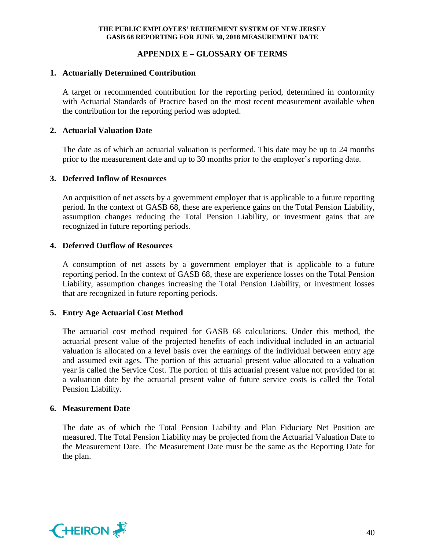## **APPENDIX E – GLOSSARY OF TERMS**

## **1. Actuarially Determined Contribution**

A target or recommended contribution for the reporting period, determined in conformity with Actuarial Standards of Practice based on the most recent measurement available when the contribution for the reporting period was adopted.

## **2. Actuarial Valuation Date**

The date as of which an actuarial valuation is performed. This date may be up to 24 months prior to the measurement date and up to 30 months prior to the employer's reporting date.

## **3. Deferred Inflow of Resources**

An acquisition of net assets by a government employer that is applicable to a future reporting period. In the context of GASB 68, these are experience gains on the Total Pension Liability, assumption changes reducing the Total Pension Liability, or investment gains that are recognized in future reporting periods.

## **4. Deferred Outflow of Resources**

A consumption of net assets by a government employer that is applicable to a future reporting period. In the context of GASB 68, these are experience losses on the Total Pension Liability, assumption changes increasing the Total Pension Liability, or investment losses that are recognized in future reporting periods.

## **5. Entry Age Actuarial Cost Method**

The actuarial cost method required for GASB 68 calculations. Under this method, the actuarial present value of the projected benefits of each individual included in an actuarial valuation is allocated on a level basis over the earnings of the individual between entry age and assumed exit ages. The portion of this actuarial present value allocated to a valuation year is called the Service Cost. The portion of this actuarial present value not provided for at a valuation date by the actuarial present value of future service costs is called the Total Pension Liability.

## **6. Measurement Date**

The date as of which the Total Pension Liability and Plan Fiduciary Net Position are measured. The Total Pension Liability may be projected from the Actuarial Valuation Date to the Measurement Date. The Measurement Date must be the same as the Reporting Date for the plan.